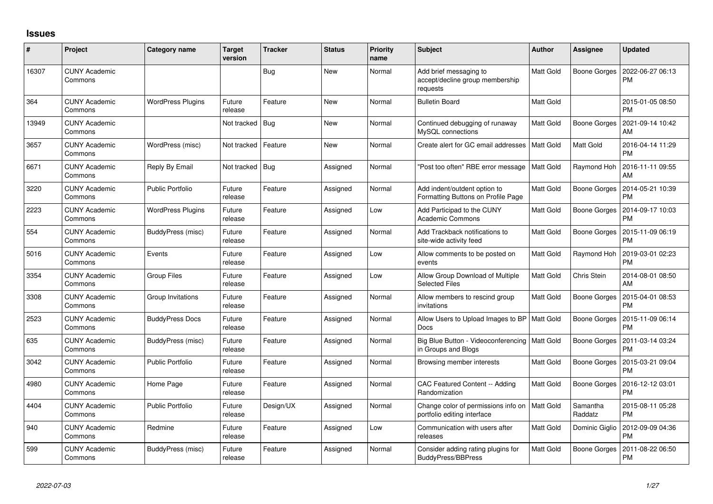## **Issues**

| #     | Project                         | Category name            | Target<br>version | <b>Tracker</b> | <b>Status</b> | <b>Priority</b><br>name | <b>Subject</b>                                                         | <b>Author</b>    | <b>Assignee</b>     | <b>Updated</b>                |
|-------|---------------------------------|--------------------------|-------------------|----------------|---------------|-------------------------|------------------------------------------------------------------------|------------------|---------------------|-------------------------------|
| 16307 | <b>CUNY Academic</b><br>Commons |                          |                   | Bug            | New           | Normal                  | Add brief messaging to<br>accept/decline group membership<br>requests  | <b>Matt Gold</b> | <b>Boone Gorges</b> | 2022-06-27 06:13<br><b>PM</b> |
| 364   | <b>CUNY Academic</b><br>Commons | <b>WordPress Plugins</b> | Future<br>release | Feature        | <b>New</b>    | Normal                  | <b>Bulletin Board</b>                                                  | Matt Gold        |                     | 2015-01-05 08:50<br><b>PM</b> |
| 13949 | <b>CUNY Academic</b><br>Commons |                          | Not tracked       | Bug            | <b>New</b>    | Normal                  | Continued debugging of runaway<br>MySQL connections                    | <b>Matt Gold</b> | <b>Boone Gorges</b> | 2021-09-14 10:42<br>AM        |
| 3657  | <b>CUNY Academic</b><br>Commons | WordPress (misc)         | Not tracked       | Feature        | <b>New</b>    | Normal                  | Create alert for GC email addresses                                    | <b>Matt Gold</b> | Matt Gold           | 2016-04-14 11:29<br><b>PM</b> |
| 6671  | <b>CUNY Academic</b><br>Commons | Reply By Email           | Not tracked       | Bug            | Assigned      | Normal                  | 'Post too often" RBE error message                                     | <b>Matt Gold</b> | Raymond Hoh         | 2016-11-11 09:55<br>AM        |
| 3220  | <b>CUNY Academic</b><br>Commons | <b>Public Portfolio</b>  | Future<br>release | Feature        | Assigned      | Normal                  | Add indent/outdent option to<br>Formatting Buttons on Profile Page     | Matt Gold        | Boone Gorges        | 2014-05-21 10:39<br><b>PM</b> |
| 2223  | <b>CUNY Academic</b><br>Commons | <b>WordPress Plugins</b> | Future<br>release | Feature        | Assigned      | Low                     | Add Participad to the CUNY<br><b>Academic Commons</b>                  | Matt Gold        | Boone Gorges        | 2014-09-17 10:03<br><b>PM</b> |
| 554   | <b>CUNY Academic</b><br>Commons | BuddyPress (misc)        | Future<br>release | Feature        | Assigned      | Normal                  | Add Trackback notifications to<br>site-wide activity feed              | <b>Matt Gold</b> | Boone Gorges        | 2015-11-09 06:19<br><b>PM</b> |
| 5016  | <b>CUNY Academic</b><br>Commons | Events                   | Future<br>release | Feature        | Assigned      | Low                     | Allow comments to be posted on<br>events                               | <b>Matt Gold</b> | Raymond Hoh         | 2019-03-01 02:23<br><b>PM</b> |
| 3354  | <b>CUNY Academic</b><br>Commons | Group Files              | Future<br>release | Feature        | Assigned      | Low                     | Allow Group Download of Multiple<br><b>Selected Files</b>              | Matt Gold        | Chris Stein         | 2014-08-01 08:50<br>AM        |
| 3308  | <b>CUNY Academic</b><br>Commons | Group Invitations        | Future<br>release | Feature        | Assigned      | Normal                  | Allow members to rescind group<br>invitations                          | Matt Gold        | <b>Boone Gorges</b> | 2015-04-01 08:53<br><b>PM</b> |
| 2523  | <b>CUNY Academic</b><br>Commons | <b>BuddyPress Docs</b>   | Future<br>release | Feature        | Assigned      | Normal                  | Allow Users to Upload Images to BP   Matt Gold<br>Docs                 |                  | <b>Boone Gorges</b> | 2015-11-09 06:14<br><b>PM</b> |
| 635   | <b>CUNY Academic</b><br>Commons | BuddyPress (misc)        | Future<br>release | Feature        | Assigned      | Normal                  | Big Blue Button - Videoconferencing   Matt Gold<br>in Groups and Blogs |                  | Boone Gorges        | 2011-03-14 03:24<br><b>PM</b> |
| 3042  | <b>CUNY Academic</b><br>Commons | <b>Public Portfolio</b>  | Future<br>release | Feature        | Assigned      | Normal                  | Browsing member interests                                              | Matt Gold        | Boone Gorges        | 2015-03-21 09:04<br><b>PM</b> |
| 4980  | <b>CUNY Academic</b><br>Commons | Home Page                | Future<br>release | Feature        | Assigned      | Normal                  | CAC Featured Content -- Adding<br>Randomization                        | Matt Gold        | Boone Gorges        | 2016-12-12 03:01<br><b>PM</b> |
| 4404  | <b>CUNY Academic</b><br>Commons | <b>Public Portfolio</b>  | Future<br>release | Design/UX      | Assigned      | Normal                  | Change color of permissions info on<br>portfolio editing interface     | <b>Matt Gold</b> | Samantha<br>Raddatz | 2015-08-11 05:28<br><b>PM</b> |
| 940   | <b>CUNY Academic</b><br>Commons | Redmine                  | Future<br>release | Feature        | Assigned      | Low                     | Communication with users after<br>releases                             | <b>Matt Gold</b> | Dominic Giglio      | 2012-09-09 04:36<br><b>PM</b> |
| 599   | <b>CUNY Academic</b><br>Commons | BuddyPress (misc)        | Future<br>release | Feature        | Assigned      | Normal                  | Consider adding rating plugins for<br><b>BuddyPress/BBPress</b>        | Matt Gold        | Boone Gorges        | 2011-08-22 06:50<br><b>PM</b> |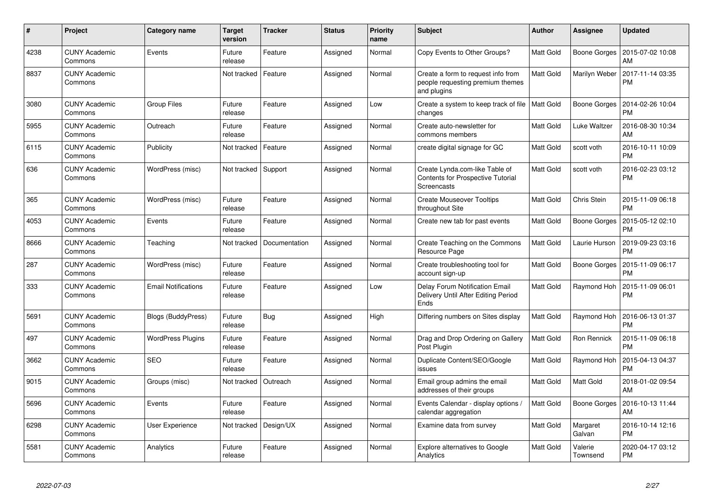| $\#$ | Project                         | Category name              | Target<br>version | <b>Tracker</b> | <b>Status</b> | <b>Priority</b><br>name | <b>Subject</b>                                                                        | Author           | Assignee            | <b>Updated</b>                |
|------|---------------------------------|----------------------------|-------------------|----------------|---------------|-------------------------|---------------------------------------------------------------------------------------|------------------|---------------------|-------------------------------|
| 4238 | <b>CUNY Academic</b><br>Commons | Events                     | Future<br>release | Feature        | Assigned      | Normal                  | Copy Events to Other Groups?                                                          | Matt Gold        | Boone Gorges        | 2015-07-02 10:08<br>AM        |
| 8837 | <b>CUNY Academic</b><br>Commons |                            | Not tracked       | Feature        | Assigned      | Normal                  | Create a form to request info from<br>people requesting premium themes<br>and plugins | Matt Gold        | Marilyn Weber       | 2017-11-14 03:35<br><b>PM</b> |
| 3080 | <b>CUNY Academic</b><br>Commons | Group Files                | Future<br>release | Feature        | Assigned      | Low                     | Create a system to keep track of file<br>changes                                      | Matt Gold        | Boone Gorges        | 2014-02-26 10:04<br><b>PM</b> |
| 5955 | <b>CUNY Academic</b><br>Commons | Outreach                   | Future<br>release | Feature        | Assigned      | Normal                  | Create auto-newsletter for<br>commons members                                         | Matt Gold        | Luke Waltzer        | 2016-08-30 10:34<br>AM        |
| 6115 | <b>CUNY Academic</b><br>Commons | Publicity                  | Not tracked       | Feature        | Assigned      | Normal                  | create digital signage for GC                                                         | Matt Gold        | scott voth          | 2016-10-11 10:09<br><b>PM</b> |
| 636  | <b>CUNY Academic</b><br>Commons | WordPress (misc)           | Not tracked       | Support        | Assigned      | Normal                  | Create Lynda.com-like Table of<br>Contents for Prospective Tutorial<br>Screencasts    | Matt Gold        | scott voth          | 2016-02-23 03:12<br><b>PM</b> |
| 365  | <b>CUNY Academic</b><br>Commons | WordPress (misc)           | Future<br>release | Feature        | Assigned      | Normal                  | <b>Create Mouseover Tooltips</b><br>throughout Site                                   | Matt Gold        | Chris Stein         | 2015-11-09 06:18<br><b>PM</b> |
| 4053 | <b>CUNY Academic</b><br>Commons | Events                     | Future<br>release | Feature        | Assigned      | Normal                  | Create new tab for past events                                                        | Matt Gold        | <b>Boone Gorges</b> | 2015-05-12 02:10<br><b>PM</b> |
| 8666 | <b>CUNY Academic</b><br>Commons | Teaching                   | Not tracked       | Documentation  | Assigned      | Normal                  | Create Teaching on the Commons<br>Resource Page                                       | <b>Matt Gold</b> | Laurie Hurson       | 2019-09-23 03:16<br><b>PM</b> |
| 287  | <b>CUNY Academic</b><br>Commons | WordPress (misc)           | Future<br>release | Feature        | Assigned      | Normal                  | Create troubleshooting tool for<br>account sign-up                                    | Matt Gold        | Boone Gorges        | 2015-11-09 06:17<br><b>PM</b> |
| 333  | <b>CUNY Academic</b><br>Commons | <b>Email Notifications</b> | Future<br>release | Feature        | Assigned      | Low                     | Delay Forum Notification Email<br>Delivery Until After Editing Period<br>Ends         | Matt Gold        | Raymond Hoh         | 2015-11-09 06:01<br><b>PM</b> |
| 5691 | <b>CUNY Academic</b><br>Commons | Blogs (BuddyPress)         | Future<br>release | Bug            | Assigned      | High                    | Differing numbers on Sites display                                                    | Matt Gold        | Raymond Hoh         | 2016-06-13 01:37<br><b>PM</b> |
| 497  | <b>CUNY Academic</b><br>Commons | <b>WordPress Plugins</b>   | Future<br>release | Feature        | Assigned      | Normal                  | Drag and Drop Ordering on Gallery<br>Post Plugin                                      | Matt Gold        | Ron Rennick         | 2015-11-09 06:18<br><b>PM</b> |
| 3662 | <b>CUNY Academic</b><br>Commons | <b>SEO</b>                 | Future<br>release | Feature        | Assigned      | Normal                  | Duplicate Content/SEO/Google<br>issues                                                | Matt Gold        | Raymond Hoh         | 2015-04-13 04:37<br><b>PM</b> |
| 9015 | <b>CUNY Academic</b><br>Commons | Groups (misc)              | Not tracked       | Outreach       | Assigned      | Normal                  | Email group admins the email<br>addresses of their groups                             | Matt Gold        | Matt Gold           | 2018-01-02 09:54<br>AM        |
| 5696 | <b>CUNY Academic</b><br>Commons | Events                     | Future<br>release | Feature        | Assigned      | Normal                  | Events Calendar - display options /<br>calendar aggregation                           | Matt Gold        | Boone Gorges        | 2016-10-13 11:44<br>AM        |
| 6298 | <b>CUNY Academic</b><br>Commons | <b>User Experience</b>     | Not tracked       | Design/UX      | Assigned      | Normal                  | Examine data from survey                                                              | Matt Gold        | Margaret<br>Galvan  | 2016-10-14 12:16<br><b>PM</b> |
| 5581 | <b>CUNY Academic</b><br>Commons | Analytics                  | Future<br>release | Feature        | Assigned      | Normal                  | <b>Explore alternatives to Google</b><br>Analytics                                    | Matt Gold        | Valerie<br>Townsend | 2020-04-17 03:12<br><b>PM</b> |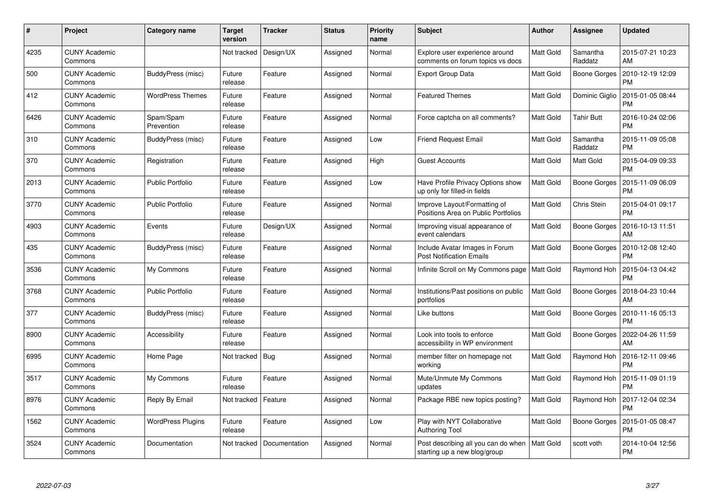| #    | Project                         | Category name            | <b>Target</b><br>version | <b>Tracker</b> | <b>Status</b> | <b>Priority</b><br>name | <b>Subject</b>                                                      | <b>Author</b> | <b>Assignee</b>     | <b>Updated</b>                |
|------|---------------------------------|--------------------------|--------------------------|----------------|---------------|-------------------------|---------------------------------------------------------------------|---------------|---------------------|-------------------------------|
| 4235 | <b>CUNY Academic</b><br>Commons |                          | Not tracked              | Design/UX      | Assigned      | Normal                  | Explore user experience around<br>comments on forum topics vs docs  | Matt Gold     | Samantha<br>Raddatz | 2015-07-21 10:23<br>AM        |
| 500  | <b>CUNY Academic</b><br>Commons | BuddyPress (misc)        | Future<br>release        | Feature        | Assigned      | Normal                  | <b>Export Group Data</b>                                            | Matt Gold     | Boone Gorges        | 2010-12-19 12:09<br><b>PM</b> |
| 412  | <b>CUNY Academic</b><br>Commons | <b>WordPress Themes</b>  | Future<br>release        | Feature        | Assigned      | Normal                  | <b>Featured Themes</b>                                              | Matt Gold     | Dominic Giglio      | 2015-01-05 08:44<br><b>PM</b> |
| 6426 | <b>CUNY Academic</b><br>Commons | Spam/Spam<br>Prevention  | Future<br>release        | Feature        | Assigned      | Normal                  | Force captcha on all comments?                                      | Matt Gold     | <b>Tahir Butt</b>   | 2016-10-24 02:06<br><b>PM</b> |
| 310  | <b>CUNY Academic</b><br>Commons | BuddyPress (misc)        | Future<br>release        | Feature        | Assigned      | Low                     | <b>Friend Request Email</b>                                         | Matt Gold     | Samantha<br>Raddatz | 2015-11-09 05:08<br><b>PM</b> |
| 370  | <b>CUNY Academic</b><br>Commons | Registration             | Future<br>release        | Feature        | Assigned      | High                    | <b>Guest Accounts</b>                                               | Matt Gold     | Matt Gold           | 2015-04-09 09:33<br><b>PM</b> |
| 2013 | <b>CUNY Academic</b><br>Commons | <b>Public Portfolio</b>  | Future<br>release        | Feature        | Assigned      | Low                     | Have Profile Privacy Options show<br>up only for filled-in fields   | Matt Gold     | <b>Boone Gorges</b> | 2015-11-09 06:09<br><b>PM</b> |
| 3770 | <b>CUNY Academic</b><br>Commons | <b>Public Portfolio</b>  | Future<br>release        | Feature        | Assigned      | Normal                  | Improve Layout/Formatting of<br>Positions Area on Public Portfolios | Matt Gold     | Chris Stein         | 2015-04-01 09:17<br><b>PM</b> |
| 4903 | <b>CUNY Academic</b><br>Commons | Events                   | Future<br>release        | Design/UX      | Assigned      | Normal                  | Improving visual appearance of<br>event calendars                   | Matt Gold     | Boone Gorges        | 2016-10-13 11:51<br>AM        |
| 435  | <b>CUNY Academic</b><br>Commons | BuddyPress (misc)        | Future<br>release        | Feature        | Assigned      | Normal                  | Include Avatar Images in Forum<br><b>Post Notification Emails</b>   | Matt Gold     | Boone Gorges        | 2010-12-08 12:40<br><b>PM</b> |
| 3536 | <b>CUNY Academic</b><br>Commons | My Commons               | Future<br>release        | Feature        | Assigned      | Normal                  | Infinite Scroll on My Commons page                                  | Matt Gold     | Raymond Hoh         | 2015-04-13 04:42<br><b>PM</b> |
| 3768 | <b>CUNY Academic</b><br>Commons | <b>Public Portfolio</b>  | Future<br>release        | Feature        | Assigned      | Normal                  | Institutions/Past positions on public<br>portfolios                 | Matt Gold     | Boone Gorges        | 2018-04-23 10:44<br>AM        |
| 377  | <b>CUNY Academic</b><br>Commons | BuddyPress (misc)        | Future<br>release        | Feature        | Assigned      | Normal                  | Like buttons                                                        | Matt Gold     | Boone Gorges        | 2010-11-16 05:13<br><b>PM</b> |
| 8900 | <b>CUNY Academic</b><br>Commons | Accessibility            | Future<br>release        | Feature        | Assigned      | Normal                  | Look into tools to enforce<br>accessibility in WP environment       | Matt Gold     | Boone Gorges        | 2022-04-26 11:59<br>AM        |
| 6995 | <b>CUNY Academic</b><br>Commons | Home Page                | Not tracked              | <b>Bug</b>     | Assigned      | Normal                  | member filter on homepage not<br>working                            | Matt Gold     | Raymond Hoh         | 2016-12-11 09:46<br><b>PM</b> |
| 3517 | <b>CUNY Academic</b><br>Commons | My Commons               | Future<br>release        | Feature        | Assigned      | Normal                  | Mute/Unmute My Commons<br>updates                                   | Matt Gold     | Raymond Hoh         | 2015-11-09 01:19<br><b>PM</b> |
| 8976 | <b>CUNY Academic</b><br>Commons | Reply By Email           | Not tracked              | Feature        | Assigned      | Normal                  | Package RBE new topics posting?                                     | Matt Gold     | Raymond Hoh         | 2017-12-04 02:34<br><b>PM</b> |
| 1562 | <b>CUNY Academic</b><br>Commons | <b>WordPress Plugins</b> | Future<br>release        | Feature        | Assigned      | Low                     | Play with NYT Collaborative<br><b>Authoring Tool</b>                | Matt Gold     | Boone Gorges        | 2015-01-05 08:47<br><b>PM</b> |
| 3524 | <b>CUNY Academic</b><br>Commons | Documentation            | Not tracked              | Documentation  | Assigned      | Normal                  | Post describing all you can do when<br>starting up a new blog/group | Matt Gold     | scott voth          | 2014-10-04 12:56<br><b>PM</b> |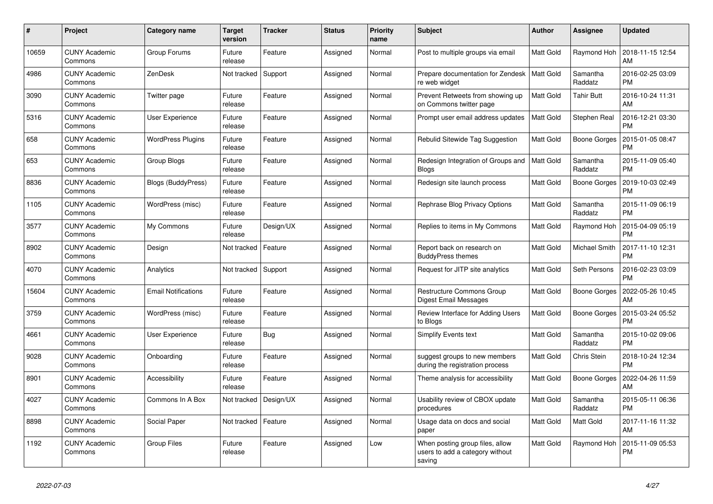| #     | Project                         | Category name              | <b>Target</b><br>version | <b>Tracker</b> | <b>Status</b> | <b>Priority</b><br>name | <b>Subject</b>                                                               | <b>Author</b> | <b>Assignee</b>     | <b>Updated</b>                |
|-------|---------------------------------|----------------------------|--------------------------|----------------|---------------|-------------------------|------------------------------------------------------------------------------|---------------|---------------------|-------------------------------|
| 10659 | <b>CUNY Academic</b><br>Commons | Group Forums               | Future<br>release        | Feature        | Assigned      | Normal                  | Post to multiple groups via email                                            | Matt Gold     | Raymond Hoh         | 2018-11-15 12:54<br>AM        |
| 4986  | <b>CUNY Academic</b><br>Commons | ZenDesk                    | Not tracked              | Support        | Assigned      | Normal                  | Prepare documentation for Zendesk<br>re web widget                           | Matt Gold     | Samantha<br>Raddatz | 2016-02-25 03:09<br><b>PM</b> |
| 3090  | <b>CUNY Academic</b><br>Commons | Twitter page               | Future<br>release        | Feature        | Assigned      | Normal                  | Prevent Retweets from showing up<br>on Commons twitter page                  | Matt Gold     | <b>Tahir Butt</b>   | 2016-10-24 11:31<br>AM        |
| 5316  | <b>CUNY Academic</b><br>Commons | <b>User Experience</b>     | Future<br>release        | Feature        | Assigned      | Normal                  | Prompt user email address updates                                            | Matt Gold     | Stephen Real        | 2016-12-21 03:30<br><b>PM</b> |
| 658   | <b>CUNY Academic</b><br>Commons | <b>WordPress Plugins</b>   | Future<br>release        | Feature        | Assigned      | Normal                  | Rebulid Sitewide Tag Suggestion                                              | Matt Gold     | <b>Boone Gorges</b> | 2015-01-05 08:47<br><b>PM</b> |
| 653   | <b>CUNY Academic</b><br>Commons | Group Blogs                | Future<br>release        | Feature        | Assigned      | Normal                  | Redesign Integration of Groups and<br><b>Blogs</b>                           | Matt Gold     | Samantha<br>Raddatz | 2015-11-09 05:40<br><b>PM</b> |
| 8836  | <b>CUNY Academic</b><br>Commons | <b>Blogs (BuddyPress)</b>  | Future<br>release        | Feature        | Assigned      | Normal                  | Redesign site launch process                                                 | Matt Gold     | Boone Gorges        | 2019-10-03 02:49<br><b>PM</b> |
| 1105  | <b>CUNY Academic</b><br>Commons | WordPress (misc)           | Future<br>release        | Feature        | Assigned      | Normal                  | Rephrase Blog Privacy Options                                                | Matt Gold     | Samantha<br>Raddatz | 2015-11-09 06:19<br><b>PM</b> |
| 3577  | <b>CUNY Academic</b><br>Commons | My Commons                 | Future<br>release        | Design/UX      | Assigned      | Normal                  | Replies to items in My Commons                                               | Matt Gold     | Raymond Hoh         | 2015-04-09 05:19<br><b>PM</b> |
| 8902  | <b>CUNY Academic</b><br>Commons | Design                     | Not tracked              | Feature        | Assigned      | Normal                  | Report back on research on<br><b>BuddyPress themes</b>                       | Matt Gold     | Michael Smith       | 2017-11-10 12:31<br><b>PM</b> |
| 4070  | <b>CUNY Academic</b><br>Commons | Analytics                  | Not tracked              | Support        | Assigned      | Normal                  | Request for JITP site analytics                                              | Matt Gold     | Seth Persons        | 2016-02-23 03:09<br><b>PM</b> |
| 15604 | <b>CUNY Academic</b><br>Commons | <b>Email Notifications</b> | Future<br>release        | Feature        | Assigned      | Normal                  | <b>Restructure Commons Group</b><br>Digest Email Messages                    | Matt Gold     | <b>Boone Gorges</b> | 2022-05-26 10:45<br>AM        |
| 3759  | <b>CUNY Academic</b><br>Commons | WordPress (misc)           | Future<br>release        | Feature        | Assigned      | Normal                  | Review Interface for Adding Users<br>to Blogs                                | Matt Gold     | Boone Gorges        | 2015-03-24 05:52<br><b>PM</b> |
| 4661  | <b>CUNY Academic</b><br>Commons | User Experience            | Future<br>release        | Bug            | Assigned      | Normal                  | <b>Simplify Events text</b>                                                  | Matt Gold     | Samantha<br>Raddatz | 2015-10-02 09:06<br><b>PM</b> |
| 9028  | <b>CUNY Academic</b><br>Commons | Onboarding                 | Future<br>release        | Feature        | Assigned      | Normal                  | suggest groups to new members<br>during the registration process             | Matt Gold     | Chris Stein         | 2018-10-24 12:34<br><b>PM</b> |
| 8901  | <b>CUNY Academic</b><br>Commons | Accessibility              | Future<br>release        | Feature        | Assigned      | Normal                  | Theme analysis for accessibility                                             | Matt Gold     | Boone Gorges        | 2022-04-26 11:59<br>AM        |
| 4027  | <b>CUNY Academic</b><br>Commons | Commons In A Box           | Not tracked              | Design/UX      | Assigned      | Normal                  | Usability review of CBOX update<br>procedures                                | Matt Gold     | Samantha<br>Raddatz | 2015-05-11 06:36<br><b>PM</b> |
| 8898  | <b>CUNY Academic</b><br>Commons | Social Paper               | Not tracked              | Feature        | Assigned      | Normal                  | Usage data on docs and social<br>paper                                       | Matt Gold     | Matt Gold           | 2017-11-16 11:32<br>AM        |
| 1192  | <b>CUNY Academic</b><br>Commons | <b>Group Files</b>         | Future<br>release        | Feature        | Assigned      | Low                     | When posting group files, allow<br>users to add a category without<br>saving | Matt Gold     | Raymond Hoh         | 2015-11-09 05:53<br><b>PM</b> |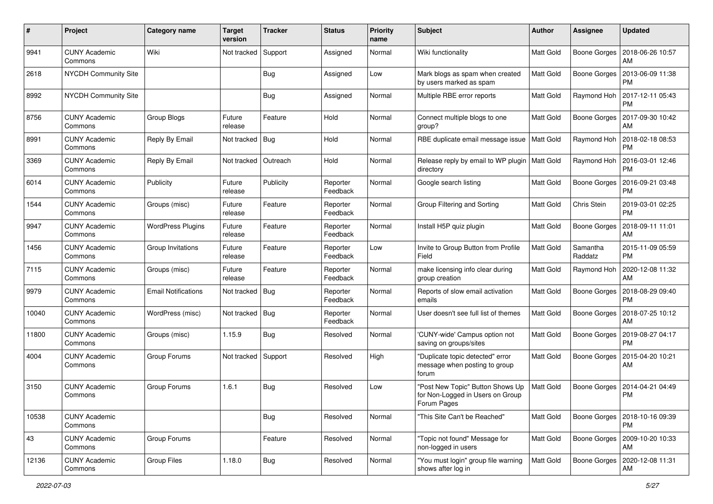| #     | Project                         | Category name              | <b>Target</b><br>version | <b>Tracker</b> | <b>Status</b>        | <b>Priority</b><br>name | Subject                                                                             | <b>Author</b>    | Assignee            | <b>Updated</b>                        |
|-------|---------------------------------|----------------------------|--------------------------|----------------|----------------------|-------------------------|-------------------------------------------------------------------------------------|------------------|---------------------|---------------------------------------|
| 9941  | <b>CUNY Academic</b><br>Commons | Wiki                       | Not tracked              | Support        | Assigned             | Normal                  | Wiki functionality                                                                  | Matt Gold        | Boone Gorges        | 2018-06-26 10:57<br>AM                |
| 2618  | NYCDH Community Site            |                            |                          | Bug            | Assigned             | Low                     | Mark blogs as spam when created<br>by users marked as spam                          | Matt Gold        | <b>Boone Gorges</b> | 2013-06-09 11:38<br><b>PM</b>         |
| 8992  | <b>NYCDH Community Site</b>     |                            |                          | <b>Bug</b>     | Assigned             | Normal                  | Multiple RBE error reports                                                          | Matt Gold        | Raymond Hoh         | 2017-12-11 05:43<br><b>PM</b>         |
| 8756  | <b>CUNY Academic</b><br>Commons | <b>Group Blogs</b>         | Future<br>release        | Feature        | Hold                 | Normal                  | Connect multiple blogs to one<br>group?                                             | Matt Gold        | <b>Boone Gorges</b> | 2017-09-30 10:42<br>AM                |
| 8991  | <b>CUNY Academic</b><br>Commons | Reply By Email             | Not tracked              | Bug            | Hold                 | Normal                  | RBE duplicate email message issue                                                   | <b>Matt Gold</b> | Raymond Hoh         | 2018-02-18 08:53<br><b>PM</b>         |
| 3369  | <b>CUNY Academic</b><br>Commons | Reply By Email             | Not tracked              | Outreach       | Hold                 | Normal                  | Release reply by email to WP plugin<br>directory                                    | <b>Matt Gold</b> | Raymond Hoh         | 2016-03-01 12:46<br><b>PM</b>         |
| 6014  | <b>CUNY Academic</b><br>Commons | Publicity                  | Future<br>release        | Publicity      | Reporter<br>Feedback | Normal                  | Google search listing                                                               | Matt Gold        | Boone Gorges        | 2016-09-21 03:48<br><b>PM</b>         |
| 1544  | <b>CUNY Academic</b><br>Commons | Groups (misc)              | Future<br>release        | Feature        | Reporter<br>Feedback | Normal                  | Group Filtering and Sorting                                                         | Matt Gold        | Chris Stein         | 2019-03-01 02:25<br><b>PM</b>         |
| 9947  | <b>CUNY Academic</b><br>Commons | <b>WordPress Plugins</b>   | Future<br>release        | Feature        | Reporter<br>Feedback | Normal                  | Install H5P quiz plugin                                                             | Matt Gold        | <b>Boone Gorges</b> | 2018-09-11 11:01<br>AM                |
| 1456  | <b>CUNY Academic</b><br>Commons | Group Invitations          | Future<br>release        | Feature        | Reporter<br>Feedback | Low                     | Invite to Group Button from Profile<br>Field                                        | Matt Gold        | Samantha<br>Raddatz | 2015-11-09 05:59<br><b>PM</b>         |
| 7115  | <b>CUNY Academic</b><br>Commons | Groups (misc)              | Future<br>release        | Feature        | Reporter<br>Feedback | Normal                  | make licensing info clear during<br>group creation                                  | Matt Gold        | Raymond Hoh         | 2020-12-08 11:32<br>AM                |
| 9979  | <b>CUNY Academic</b><br>Commons | <b>Email Notifications</b> | Not tracked              | Bug            | Reporter<br>Feedback | Normal                  | Reports of slow email activation<br>emails                                          | Matt Gold        | Boone Gorges        | 2018-08-29 09:40<br><b>PM</b>         |
| 10040 | <b>CUNY Academic</b><br>Commons | WordPress (misc)           | Not tracked   Bug        |                | Reporter<br>Feedback | Normal                  | User doesn't see full list of themes                                                | Matt Gold        | Boone Gorges        | 2018-07-25 10:12<br>AM                |
| 11800 | <b>CUNY Academic</b><br>Commons | Groups (misc)              | 1.15.9                   | Bug            | Resolved             | Normal                  | 'CUNY-wide' Campus option not<br>saving on groups/sites                             | Matt Gold        | Boone Gorges        | 2019-08-27 04:17<br><b>PM</b>         |
| 4004  | <b>CUNY Academic</b><br>Commons | Group Forums               | Not tracked              | Support        | Resolved             | High                    | "Duplicate topic detected" error<br>message when posting to group<br>forum          | Matt Gold        | <b>Boone Gorges</b> | 2015-04-20 10:21<br>AM                |
| 3150  | <b>CUNY Academic</b><br>Commons | Group Forums               | 1.6.1                    | Bug            | Resolved             | Low                     | "Post New Topic" Button Shows Up<br>for Non-Logged in Users on Group<br>Forum Pages | Matt Gold        | Boone Gorges        | 2014-04-21 04:49<br><b>PM</b>         |
| 10538 | <b>CUNY Academic</b><br>Commons |                            |                          | <b>Bug</b>     | Resolved             | Normal                  | "This Site Can't be Reached"                                                        | Matt Gold        | Boone Gorges        | 2018-10-16 09:39<br><b>PM</b>         |
| 43    | <b>CUNY Academic</b><br>Commons | Group Forums               |                          | Feature        | Resolved             | Normal                  | 'Topic not found" Message for<br>non-logged in users                                | Matt Gold        |                     | Boone Gorges   2009-10-20 10:33<br>AM |
| 12136 | <b>CUNY Academic</b><br>Commons | Group Files                | 1.18.0                   | <b>Bug</b>     | Resolved             | Normal                  | 'You must login" group file warning<br>shows after log in                           | Matt Gold        |                     | Boone Gorges   2020-12-08 11:31<br>AM |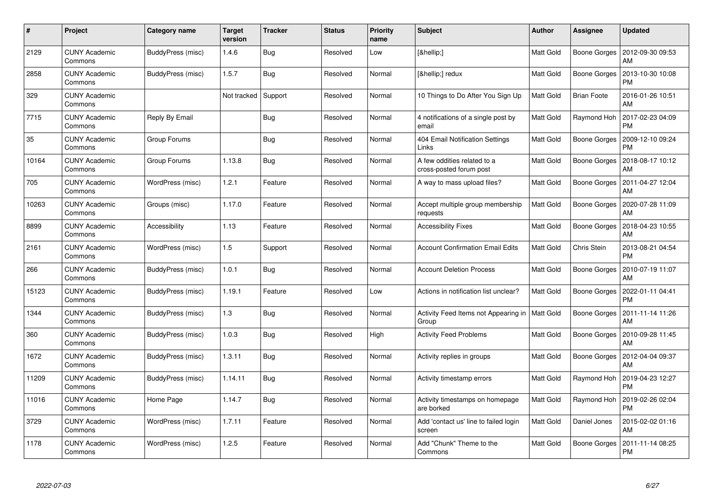| #     | Project                         | Category name         | <b>Target</b><br>version | <b>Tracker</b> | <b>Status</b> | <b>Priority</b><br>name | <b>Subject</b>                                            | <b>Author</b>    | <b>Assignee</b>     | <b>Updated</b>                              |
|-------|---------------------------------|-----------------------|--------------------------|----------------|---------------|-------------------------|-----------------------------------------------------------|------------------|---------------------|---------------------------------------------|
| 2129  | <b>CUNY Academic</b><br>Commons | BuddyPress (misc)     | 1.4.6                    | <b>Bug</b>     | Resolved      | Low                     | […]                                                       | Matt Gold        | Boone Gorges        | 2012-09-30 09:53<br>AM                      |
| 2858  | <b>CUNY Academic</b><br>Commons | BuddyPress (misc)     | 1.5.7                    | <b>Bug</b>     | Resolved      | Normal                  | […] redux                                                 | Matt Gold        | <b>Boone Gorges</b> | 2013-10-30 10:08<br><b>PM</b>               |
| 329   | <b>CUNY Academic</b><br>Commons |                       | Not tracked              | Support        | Resolved      | Normal                  | 10 Things to Do After You Sign Up                         | <b>Matt Gold</b> | <b>Brian Foote</b>  | 2016-01-26 10:51<br>AM                      |
| 7715  | CUNY Academic<br>Commons        | <b>Reply By Email</b> |                          | <b>Bug</b>     | Resolved      | Normal                  | 4 notifications of a single post by<br>email              | Matt Gold        | Raymond Hoh         | 2017-02-23 04:09<br><b>PM</b>               |
| 35    | <b>CUNY Academic</b><br>Commons | Group Forums          |                          | Bug            | Resolved      | Normal                  | 404 Email Notification Settings<br>Links                  | Matt Gold        | Boone Gorges        | 2009-12-10 09:24<br><b>PM</b>               |
| 10164 | <b>CUNY Academic</b><br>Commons | Group Forums          | 1.13.8                   | <b>Bug</b>     | Resolved      | Normal                  | A few oddities related to a<br>cross-posted forum post    | Matt Gold        | Boone Gorges        | 2018-08-17 10:12<br>AM                      |
| 705   | <b>CUNY Academic</b><br>Commons | WordPress (misc)      | 1.2.1                    | Feature        | Resolved      | Normal                  | A way to mass upload files?                               | Matt Gold        | Boone Gorges        | 2011-04-27 12:04<br>AM                      |
| 10263 | <b>CUNY Academic</b><br>Commons | Groups (misc)         | 1.17.0                   | Feature        | Resolved      | Normal                  | Accept multiple group membership<br>requests              | Matt Gold        |                     | Boone Gorges   2020-07-28 11:09<br>AM       |
| 8899  | <b>CUNY Academic</b><br>Commons | Accessibility         | 1.13                     | Feature        | Resolved      | Normal                  | <b>Accessibility Fixes</b>                                | Matt Gold        | <b>Boone Gorges</b> | 2018-04-23 10:55<br>AM                      |
| 2161  | <b>CUNY Academic</b><br>Commons | WordPress (misc)      | 1.5                      | Support        | Resolved      | Normal                  | <b>Account Confirmation Email Edits</b>                   | Matt Gold        | Chris Stein         | 2013-08-21 04:54<br><b>PM</b>               |
| 266   | <b>CUNY Academic</b><br>Commons | BuddyPress (misc)     | 1.0.1                    | <b>Bug</b>     | Resolved      | Normal                  | <b>Account Deletion Process</b>                           | Matt Gold        | <b>Boone Gorges</b> | 2010-07-19 11:07<br>AM                      |
| 15123 | <b>CUNY Academic</b><br>Commons | BuddyPress (misc)     | 1.19.1                   | Feature        | Resolved      | Low                     | Actions in notification list unclear?                     | Matt Gold        | Boone Gorges        | 2022-01-11 04:41<br><b>PM</b>               |
| 1344  | <b>CUNY Academic</b><br>Commons | BuddyPress (misc)     | 1.3                      | <b>Bug</b>     | Resolved      | Normal                  | Activity Feed Items not Appearing in   Matt Gold<br>Group |                  | Boone Gorges        | 2011-11-14 11:26<br>AM                      |
| 360   | <b>CUNY Academic</b><br>Commons | BuddyPress (misc)     | 1.0.3                    | Bug            | Resolved      | High                    | <b>Activity Feed Problems</b>                             | Matt Gold        | Boone Gorges        | 2010-09-28 11:45<br>AM                      |
| 1672  | <b>CUNY Academic</b><br>Commons | BuddyPress (misc)     | 1.3.11                   | <b>Bug</b>     | Resolved      | Normal                  | Activity replies in groups                                | Matt Gold        | Boone Gorges        | 2012-04-04 09:37<br>AM                      |
| 11209 | <b>CUNY Academic</b><br>Commons | BuddyPress (misc)     | 1.14.11                  | <b>Bug</b>     | Resolved      | Normal                  | Activity timestamp errors                                 | Matt Gold        |                     | Raymond Hoh   2019-04-23 12:27<br><b>PM</b> |
| 11016 | <b>CUNY Academic</b><br>Commons | Home Page             | 1.14.7                   | Bug            | Resolved      | Normal                  | Activity timestamps on homepage<br>are borked             | Matt Gold        | Raymond Hoh         | 2019-02-26 02:04<br><b>PM</b>               |
| 3729  | <b>CUNY Academic</b><br>Commons | WordPress (misc)      | 1.7.11                   | Feature        | Resolved      | Normal                  | Add 'contact us' line to failed login<br>screen           | Matt Gold        | Daniel Jones        | 2015-02-02 01:16<br>AM                      |
| 1178  | CUNY Academic<br>Commons        | WordPress (misc)      | 1.2.5                    | Feature        | Resolved      | Normal                  | Add "Chunk" Theme to the<br>Commons                       | Matt Gold        | <b>Boone Gorges</b> | 2011-11-14 08:25<br>PM                      |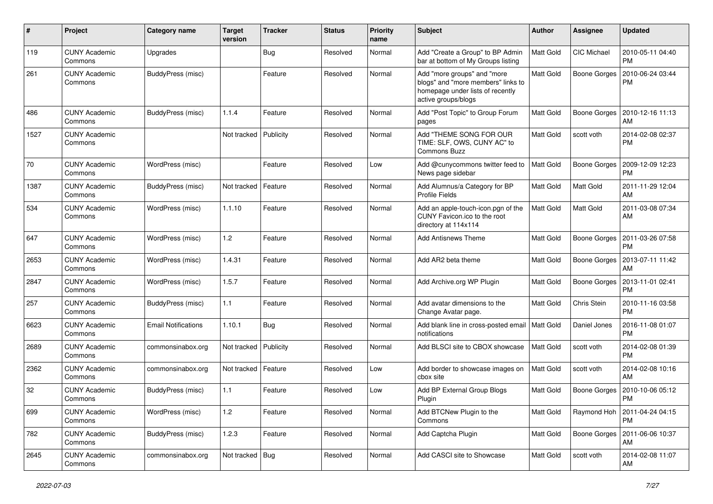| $\pmb{\#}$ | Project                         | Category name       | <b>Target</b><br>version | <b>Tracker</b> | <b>Status</b> | <b>Priority</b><br>name | Subject                                                                                                                      | Author           | Assignee            | <b>Updated</b>                              |
|------------|---------------------------------|---------------------|--------------------------|----------------|---------------|-------------------------|------------------------------------------------------------------------------------------------------------------------------|------------------|---------------------|---------------------------------------------|
| 119        | <b>CUNY Academic</b><br>Commons | Upgrades            |                          | Bug            | Resolved      | Normal                  | Add "Create a Group" to BP Admin<br>bar at bottom of My Groups listing                                                       | Matt Gold        | CIC Michael         | 2010-05-11 04:40<br><b>PM</b>               |
| 261        | <b>CUNY Academic</b><br>Commons | BuddyPress (misc)   |                          | Feature        | Resolved      | Normal                  | Add "more groups" and "more<br>blogs" and "more members" links to<br>homepage under lists of recently<br>active groups/blogs | Matt Gold        | Boone Gorges        | 2010-06-24 03:44<br><b>PM</b>               |
| 486        | <b>CUNY Academic</b><br>Commons | BuddyPress (misc)   | 1.1.4                    | Feature        | Resolved      | Normal                  | Add "Post Topic" to Group Forum<br>pages                                                                                     | Matt Gold        | Boone Gorges        | 2010-12-16 11:13<br>AM                      |
| 1527       | <b>CUNY Academic</b><br>Commons |                     | Not tracked              | Publicity      | Resolved      | Normal                  | Add "THEME SONG FOR OUR<br>TIME: SLF, OWS, CUNY AC" to<br>Commons Buzz                                                       | Matt Gold        | scott voth          | 2014-02-08 02:37<br><b>PM</b>               |
| 70         | <b>CUNY Academic</b><br>Commons | WordPress (misc)    |                          | Feature        | Resolved      | Low                     | Add @cunycommons twitter feed to<br>News page sidebar                                                                        | Matt Gold        | Boone Gorges        | 2009-12-09 12:23<br><b>PM</b>               |
| 1387       | <b>CUNY Academic</b><br>Commons | BuddyPress (misc)   | Not tracked              | Feature        | Resolved      | Normal                  | Add Alumnus/a Category for BP<br><b>Profile Fields</b>                                                                       | Matt Gold        | Matt Gold           | 2011-11-29 12:04<br>AM                      |
| 534        | <b>CUNY Academic</b><br>Commons | WordPress (misc)    | 1.1.10                   | Feature        | Resolved      | Normal                  | Add an apple-touch-icon.pgn of the<br>CUNY Favicon.ico to the root<br>directory at 114x114                                   | Matt Gold        | Matt Gold           | 2011-03-08 07:34<br>AM                      |
| 647        | <b>CUNY Academic</b><br>Commons | WordPress (misc)    | 1.2                      | Feature        | Resolved      | Normal                  | <b>Add Antisnews Theme</b>                                                                                                   | Matt Gold        | Boone Gorges        | 2011-03-26 07:58<br><b>PM</b>               |
| 2653       | <b>CUNY Academic</b><br>Commons | WordPress (misc)    | 1.4.31                   | Feature        | Resolved      | Normal                  | Add AR2 beta theme                                                                                                           | Matt Gold        | <b>Boone Gorges</b> | 2013-07-11 11:42<br>AM                      |
| 2847       | <b>CUNY Academic</b><br>Commons | WordPress (misc)    | 1.5.7                    | Feature        | Resolved      | Normal                  | Add Archive.org WP Plugin                                                                                                    | Matt Gold        | Boone Gorges        | 2013-11-01 02:41<br><b>PM</b>               |
| 257        | <b>CUNY Academic</b><br>Commons | BuddyPress (misc)   | 1.1                      | Feature        | Resolved      | Normal                  | Add avatar dimensions to the<br>Change Avatar page.                                                                          | Matt Gold        | Chris Stein         | 2010-11-16 03:58<br><b>PM</b>               |
| 6623       | <b>CUNY Academic</b><br>Commons | Email Notifications | 1.10.1                   | Bug            | Resolved      | Normal                  | Add blank line in cross-posted email<br>notifications                                                                        | Matt Gold        | Daniel Jones        | 2016-11-08 01:07<br><b>PM</b>               |
| 2689       | <b>CUNY Academic</b><br>Commons | commonsinabox.org   | Not tracked              | Publicity      | Resolved      | Normal                  | Add BLSCI site to CBOX showcase                                                                                              | <b>Matt Gold</b> | scott voth          | 2014-02-08 01:39<br><b>PM</b>               |
| 2362       | <b>CUNY Academic</b><br>Commons | commonsinabox.org   | Not tracked              | Feature        | Resolved      | Low                     | Add border to showcase images on<br>cbox site                                                                                | Matt Gold        | scott voth          | 2014-02-08 10:16<br>AM                      |
| 32         | <b>CUNY Academic</b><br>Commons | BuddyPress (misc)   | 1.1                      | Feature        | Resolved      | Low                     | Add BP External Group Blogs<br>Plugin                                                                                        | Matt Gold        | Boone Gorges        | 2010-10-06 05:12<br><b>PM</b>               |
| 699        | <b>CUNY Academic</b><br>Commons | WordPress (misc)    | $1.2$                    | Feature        | Resolved      | Normal                  | Add BTCNew Plugin to the<br>Commons                                                                                          | Matt Gold        |                     | Raymond Hoh   2011-04-24 04:15<br><b>PM</b> |
| 782        | <b>CUNY Academic</b><br>Commons | BuddyPress (misc)   | 1.2.3                    | Feature        | Resolved      | Normal                  | Add Captcha Plugin                                                                                                           | Matt Gold        | Boone Gorges        | 2011-06-06 10:37<br>AM                      |
| 2645       | <b>CUNY Academic</b><br>Commons | commonsinabox.org   | Not tracked   Bug        |                | Resolved      | Normal                  | Add CASCI site to Showcase                                                                                                   | Matt Gold        | scott voth          | 2014-02-08 11:07<br>AM                      |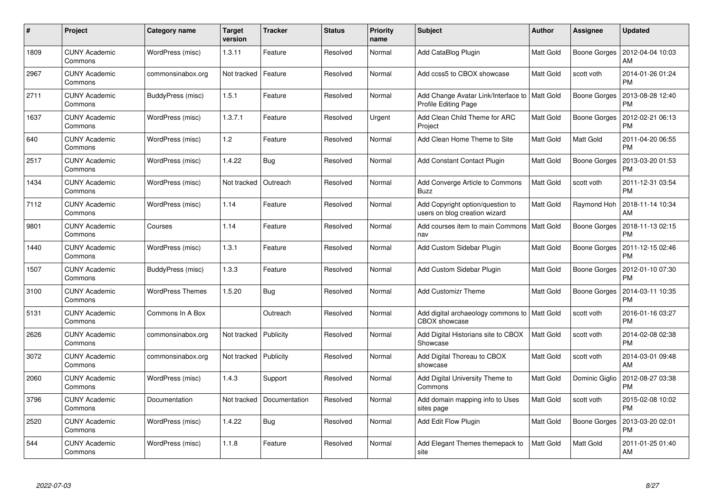| #    | Project                         | Category name           | <b>Target</b><br>version | <b>Tracker</b> | <b>Status</b> | <b>Priority</b><br>name | <b>Subject</b>                                                         | <b>Author</b>    | <b>Assignee</b>     | <b>Updated</b>                |
|------|---------------------------------|-------------------------|--------------------------|----------------|---------------|-------------------------|------------------------------------------------------------------------|------------------|---------------------|-------------------------------|
| 1809 | <b>CUNY Academic</b><br>Commons | WordPress (misc)        | 1.3.11                   | Feature        | Resolved      | Normal                  | Add CataBlog Plugin                                                    | Matt Gold        | Boone Gorges        | 2012-04-04 10:03<br>AM        |
| 2967 | <b>CUNY Academic</b><br>Commons | commonsinabox.org       | Not tracked              | Feature        | Resolved      | Normal                  | Add ccss5 to CBOX showcase                                             | Matt Gold        | scott voth          | 2014-01-26 01:24<br><b>PM</b> |
| 2711 | <b>CUNY Academic</b><br>Commons | BuddyPress (misc)       | 1.5.1                    | Feature        | Resolved      | Normal                  | Add Change Avatar Link/Interface to<br>Profile Editing Page            | Matt Gold        | <b>Boone Gorges</b> | 2013-08-28 12:40<br><b>PM</b> |
| 1637 | <b>CUNY Academic</b><br>Commons | WordPress (misc)        | 1.3.7.1                  | Feature        | Resolved      | Urgent                  | Add Clean Child Theme for ARC<br>Project                               | Matt Gold        | Boone Gorges        | 2012-02-21 06:13<br><b>PM</b> |
| 640  | <b>CUNY Academic</b><br>Commons | WordPress (misc)        | 1.2                      | Feature        | Resolved      | Normal                  | Add Clean Home Theme to Site                                           | Matt Gold        | <b>Matt Gold</b>    | 2011-04-20 06:55<br><b>PM</b> |
| 2517 | <b>CUNY Academic</b><br>Commons | WordPress (misc)        | 1.4.22                   | <b>Bug</b>     | Resolved      | Normal                  | <b>Add Constant Contact Plugin</b>                                     | Matt Gold        | Boone Gorges        | 2013-03-20 01:53<br><b>PM</b> |
| 1434 | <b>CUNY Academic</b><br>Commons | WordPress (misc)        | Not tracked              | Outreach       | Resolved      | Normal                  | Add Converge Article to Commons<br><b>Buzz</b>                         | <b>Matt Gold</b> | scott voth          | 2011-12-31 03:54<br><b>PM</b> |
| 7112 | <b>CUNY Academic</b><br>Commons | WordPress (misc)        | 1.14                     | Feature        | Resolved      | Normal                  | Add Copyright option/question to<br>users on blog creation wizard      | Matt Gold        | Raymond Hoh         | 2018-11-14 10:34<br>AM        |
| 9801 | <b>CUNY Academic</b><br>Commons | Courses                 | 1.14                     | Feature        | Resolved      | Normal                  | Add courses item to main Commons<br>nav                                | <b>Matt Gold</b> | Boone Gorges        | 2018-11-13 02:15<br><b>PM</b> |
| 1440 | <b>CUNY Academic</b><br>Commons | WordPress (misc)        | 1.3.1                    | Feature        | Resolved      | Normal                  | Add Custom Sidebar Plugin                                              | Matt Gold        | Boone Gorges        | 2011-12-15 02:46<br><b>PM</b> |
| 1507 | <b>CUNY Academic</b><br>Commons | BuddyPress (misc)       | 1.3.3                    | Feature        | Resolved      | Normal                  | Add Custom Sidebar Plugin                                              | Matt Gold        | Boone Gorges        | 2012-01-10 07:30<br><b>PM</b> |
| 3100 | <b>CUNY Academic</b><br>Commons | <b>WordPress Themes</b> | 1.5.20                   | <b>Bug</b>     | Resolved      | Normal                  | <b>Add Customizr Theme</b>                                             | Matt Gold        | Boone Gorges        | 2014-03-11 10:35<br><b>PM</b> |
| 5131 | <b>CUNY Academic</b><br>Commons | Commons In A Box        |                          | Outreach       | Resolved      | Normal                  | Add digital archaeology commons to   Matt Gold<br><b>CBOX</b> showcase |                  | scott voth          | 2016-01-16 03:27<br><b>PM</b> |
| 2626 | <b>CUNY Academic</b><br>Commons | commonsinabox.org       | Not tracked              | Publicity      | Resolved      | Normal                  | Add Digital Historians site to CBOX<br>Showcase                        | Matt Gold        | scott voth          | 2014-02-08 02:38<br><b>PM</b> |
| 3072 | <b>CUNY Academic</b><br>Commons | commonsinabox.org       | Not tracked              | Publicity      | Resolved      | Normal                  | Add Digital Thoreau to CBOX<br>showcase                                | Matt Gold        | scott voth          | 2014-03-01 09:48<br>AM        |
| 2060 | <b>CUNY Academic</b><br>Commons | WordPress (misc)        | 1.4.3                    | Support        | Resolved      | Normal                  | Add Digital University Theme to<br>Commons                             | Matt Gold        | Dominic Giglio      | 2012-08-27 03:38<br><b>PM</b> |
| 3796 | <b>CUNY Academic</b><br>Commons | Documentation           | Not tracked              | Documentation  | Resolved      | Normal                  | Add domain mapping info to Uses<br>sites page                          | Matt Gold        | scott voth          | 2015-02-08 10:02<br><b>PM</b> |
| 2520 | <b>CUNY Academic</b><br>Commons | WordPress (misc)        | 1.4.22                   | <b>Bug</b>     | Resolved      | Normal                  | Add Edit Flow Plugin                                                   | Matt Gold        | <b>Boone Gorges</b> | 2013-03-20 02:01<br><b>PM</b> |
| 544  | <b>CUNY Academic</b><br>Commons | WordPress (misc)        | 1.1.8                    | Feature        | Resolved      | Normal                  | Add Elegant Themes themepack to<br>site                                | Matt Gold        | <b>Matt Gold</b>    | 2011-01-25 01:40<br>AM        |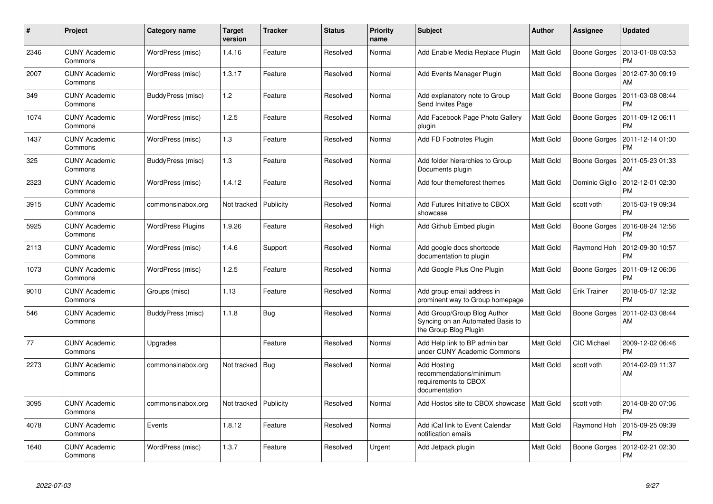| $\#$ | Project                         | Category name            | Target<br>version | <b>Tracker</b> | <b>Status</b> | <b>Priority</b><br>name | <b>Subject</b>                                                                           | Author           | Assignee            | <b>Updated</b>                |
|------|---------------------------------|--------------------------|-------------------|----------------|---------------|-------------------------|------------------------------------------------------------------------------------------|------------------|---------------------|-------------------------------|
| 2346 | <b>CUNY Academic</b><br>Commons | WordPress (misc)         | 1.4.16            | Feature        | Resolved      | Normal                  | Add Enable Media Replace Plugin                                                          | <b>Matt Gold</b> | Boone Gorges        | 2013-01-08 03:53<br><b>PM</b> |
| 2007 | <b>CUNY Academic</b><br>Commons | WordPress (misc)         | 1.3.17            | Feature        | Resolved      | Normal                  | Add Events Manager Plugin                                                                | Matt Gold        | <b>Boone Gorges</b> | 2012-07-30 09:19<br>AM        |
| 349  | <b>CUNY Academic</b><br>Commons | BuddyPress (misc)        | 1.2               | Feature        | Resolved      | Normal                  | Add explanatory note to Group<br>Send Invites Page                                       | Matt Gold        | <b>Boone Gorges</b> | 2011-03-08 08:44<br><b>PM</b> |
| 1074 | <b>CUNY Academic</b><br>Commons | WordPress (misc)         | 1.2.5             | Feature        | Resolved      | Normal                  | Add Facebook Page Photo Gallery<br>plugin                                                | Matt Gold        | Boone Gorges        | 2011-09-12 06:11<br><b>PM</b> |
| 1437 | <b>CUNY Academic</b><br>Commons | WordPress (misc)         | 1.3               | Feature        | Resolved      | Normal                  | Add FD Footnotes Plugin                                                                  | Matt Gold        | Boone Gorges        | 2011-12-14 01:00<br><b>PM</b> |
| 325  | <b>CUNY Academic</b><br>Commons | BuddyPress (misc)        | 1.3               | Feature        | Resolved      | Normal                  | Add folder hierarchies to Group<br>Documents plugin                                      | Matt Gold        | Boone Gorges        | 2011-05-23 01:33<br>AM        |
| 2323 | <b>CUNY Academic</b><br>Commons | WordPress (misc)         | 1.4.12            | Feature        | Resolved      | Normal                  | Add four themeforest themes                                                              | Matt Gold        | Dominic Giglio      | 2012-12-01 02:30<br><b>PM</b> |
| 3915 | <b>CUNY Academic</b><br>Commons | commonsinabox.org        | Not tracked       | Publicity      | Resolved      | Normal                  | Add Futures Initiative to CBOX<br>showcase                                               | Matt Gold        | scott voth          | 2015-03-19 09:34<br><b>PM</b> |
| 5925 | <b>CUNY Academic</b><br>Commons | <b>WordPress Plugins</b> | 1.9.26            | Feature        | Resolved      | High                    | Add Github Embed plugin                                                                  | Matt Gold        | <b>Boone Gorges</b> | 2016-08-24 12:56<br><b>PM</b> |
| 2113 | <b>CUNY Academic</b><br>Commons | WordPress (misc)         | 1.4.6             | Support        | Resolved      | Normal                  | Add google docs shortcode<br>documentation to plugin                                     | Matt Gold        | Raymond Hoh         | 2012-09-30 10:57<br><b>PM</b> |
| 1073 | <b>CUNY Academic</b><br>Commons | WordPress (misc)         | 1.2.5             | Feature        | Resolved      | Normal                  | Add Google Plus One Plugin                                                               | Matt Gold        | Boone Gorges        | 2011-09-12 06:06<br><b>PM</b> |
| 9010 | <b>CUNY Academic</b><br>Commons | Groups (misc)            | 1.13              | Feature        | Resolved      | Normal                  | Add group email address in<br>prominent way to Group homepage                            | Matt Gold        | <b>Erik Trainer</b> | 2018-05-07 12:32<br><b>PM</b> |
| 546  | <b>CUNY Academic</b><br>Commons | BuddyPress (misc)        | 1.1.8             | Bug            | Resolved      | Normal                  | Add Group/Group Blog Author<br>Syncing on an Automated Basis to<br>the Group Blog Plugin | Matt Gold        | <b>Boone Gorges</b> | 2011-02-03 08:44<br>AM        |
| 77   | <b>CUNY Academic</b><br>Commons | Upgrades                 |                   | Feature        | Resolved      | Normal                  | Add Help link to BP admin bar<br>under CUNY Academic Commons                             | Matt Gold        | CIC Michael         | 2009-12-02 06:46<br><b>PM</b> |
| 2273 | <b>CUNY Academic</b><br>Commons | commonsinabox.org        | Not tracked       | Bug            | Resolved      | Normal                  | <b>Add Hosting</b><br>recommendations/minimum<br>requirements to CBOX<br>documentation   | Matt Gold        | scott voth          | 2014-02-09 11:37<br>AM        |
| 3095 | <b>CUNY Academic</b><br>Commons | commonsinabox.org        | Not tracked       | Publicity      | Resolved      | Normal                  | Add Hostos site to CBOX showcase                                                         | Matt Gold        | scott voth          | 2014-08-20 07:06<br><b>PM</b> |
| 4078 | <b>CUNY Academic</b><br>Commons | Events                   | 1.8.12            | Feature        | Resolved      | Normal                  | Add iCal link to Event Calendar<br>notification emails                                   | Matt Gold        | Raymond Hoh         | 2015-09-25 09:39<br><b>PM</b> |
| 1640 | <b>CUNY Academic</b><br>Commons | WordPress (misc)         | 1.3.7             | Feature        | Resolved      | Urgent                  | Add Jetpack plugin                                                                       | Matt Gold        | Boone Gorges        | 2012-02-21 02:30<br><b>PM</b> |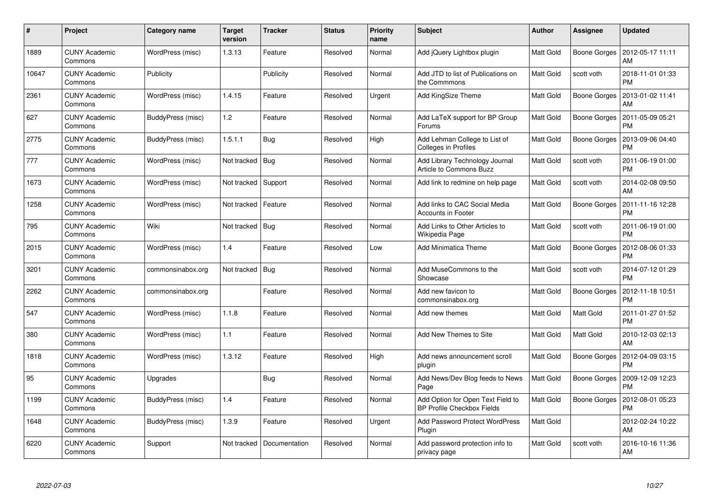| #     | Project                         | Category name     | <b>Target</b><br>version | <b>Tracker</b> | <b>Status</b> | <b>Priority</b><br>name | <b>Subject</b>                                                         | <b>Author</b> | <b>Assignee</b> | <b>Updated</b>                |
|-------|---------------------------------|-------------------|--------------------------|----------------|---------------|-------------------------|------------------------------------------------------------------------|---------------|-----------------|-------------------------------|
| 1889  | <b>CUNY Academic</b><br>Commons | WordPress (misc)  | 1.3.13                   | Feature        | Resolved      | Normal                  | Add jQuery Lightbox plugin                                             | Matt Gold     | Boone Gorges    | 2012-05-17 11:11<br>AM        |
| 10647 | <b>CUNY Academic</b><br>Commons | Publicity         |                          | Publicity      | Resolved      | Normal                  | Add JTD to list of Publications on<br>the Commmons                     | Matt Gold     | scott voth      | 2018-11-01 01:33<br><b>PM</b> |
| 2361  | <b>CUNY Academic</b><br>Commons | WordPress (misc)  | 1.4.15                   | Feature        | Resolved      | Urgent                  | Add KingSize Theme                                                     | Matt Gold     | Boone Gorges    | 2013-01-02 11:41<br>AM        |
| 627   | <b>CUNY Academic</b><br>Commons | BuddyPress (misc) | 1.2                      | Feature        | Resolved      | Normal                  | Add LaTeX support for BP Group<br>Forums                               | Matt Gold     | Boone Gorges    | 2011-05-09 05:21<br><b>PM</b> |
| 2775  | <b>CUNY Academic</b><br>Commons | BuddyPress (misc) | 1.5.1.1                  | <b>Bug</b>     | Resolved      | High                    | Add Lehman College to List of<br>Colleges in Profiles                  | Matt Gold     | Boone Gorges    | 2013-09-06 04:40<br><b>PM</b> |
| 777   | <b>CUNY Academic</b><br>Commons | WordPress (misc)  | Not tracked              | Bug            | Resolved      | Normal                  | Add Library Technology Journal<br>Article to Commons Buzz              | Matt Gold     | scott voth      | 2011-06-19 01:00<br><b>PM</b> |
| 1673  | <b>CUNY Academic</b><br>Commons | WordPress (misc)  | Not tracked              | Support        | Resolved      | Normal                  | Add link to redmine on help page                                       | Matt Gold     | scott voth      | 2014-02-08 09:50<br>AM        |
| 1258  | <b>CUNY Academic</b><br>Commons | WordPress (misc)  | Not tracked              | Feature        | Resolved      | Normal                  | Add links to CAC Social Media<br><b>Accounts in Footer</b>             | Matt Gold     | Boone Gorges    | 2011-11-16 12:28<br><b>PM</b> |
| 795   | <b>CUNY Academic</b><br>Commons | Wiki              | Not tracked              | <b>Bug</b>     | Resolved      | Normal                  | Add Links to Other Articles to<br>Wikipedia Page                       | Matt Gold     | scott voth      | 2011-06-19 01:00<br><b>PM</b> |
| 2015  | <b>CUNY Academic</b><br>Commons | WordPress (misc)  | 1.4                      | Feature        | Resolved      | Low                     | <b>Add Minimatica Theme</b>                                            | Matt Gold     | Boone Gorges    | 2012-08-06 01:33<br><b>PM</b> |
| 3201  | <b>CUNY Academic</b><br>Commons | commonsinabox.org | Not tracked              | <b>Bug</b>     | Resolved      | Normal                  | Add MuseCommons to the<br>Showcase                                     | Matt Gold     | scott voth      | 2014-07-12 01:29<br><b>PM</b> |
| 2262  | <b>CUNY Academic</b><br>Commons | commonsinabox.org |                          | Feature        | Resolved      | Normal                  | Add new favicon to<br>commonsinabox.org                                | Matt Gold     | Boone Gorges    | 2012-11-18 10:51<br><b>PM</b> |
| 547   | <b>CUNY Academic</b><br>Commons | WordPress (misc)  | 1.1.8                    | Feature        | Resolved      | Normal                  | Add new themes                                                         | Matt Gold     | Matt Gold       | 2011-01-27 01:52<br><b>PM</b> |
| 380   | <b>CUNY Academic</b><br>Commons | WordPress (misc)  | 1.1                      | Feature        | Resolved      | Normal                  | Add New Themes to Site                                                 | Matt Gold     | Matt Gold       | 2010-12-03 02:13<br>AM        |
| 1818  | <b>CUNY Academic</b><br>Commons | WordPress (misc)  | 1.3.12                   | Feature        | Resolved      | High                    | Add news announcement scroll<br>plugin                                 | Matt Gold     | Boone Gorges    | 2012-04-09 03:15<br><b>PM</b> |
| 95    | <b>CUNY Academic</b><br>Commons | Upgrades          |                          | Bug            | Resolved      | Normal                  | Add News/Dev Blog feeds to News<br>Page                                | Matt Gold     | Boone Gorges    | 2009-12-09 12:23<br><b>PM</b> |
| 1199  | <b>CUNY Academic</b><br>Commons | BuddyPress (misc) | 1.4                      | Feature        | Resolved      | Normal                  | Add Option for Open Text Field to<br><b>BP Profile Checkbox Fields</b> | Matt Gold     | Boone Gorges    | 2012-08-01 05:23<br><b>PM</b> |
| 1648  | <b>CUNY Academic</b><br>Commons | BuddyPress (misc) | 1.3.9                    | Feature        | Resolved      | Urgent                  | <b>Add Password Protect WordPress</b><br>Plugin                        | Matt Gold     |                 | 2012-02-24 10:22<br>AM        |
| 6220  | CUNY Academic<br>Commons        | Support           | Not tracked              | Documentation  | Resolved      | Normal                  | Add password protection info to<br>privacy page                        | Matt Gold     | scott voth      | 2016-10-16 11:36<br>AM        |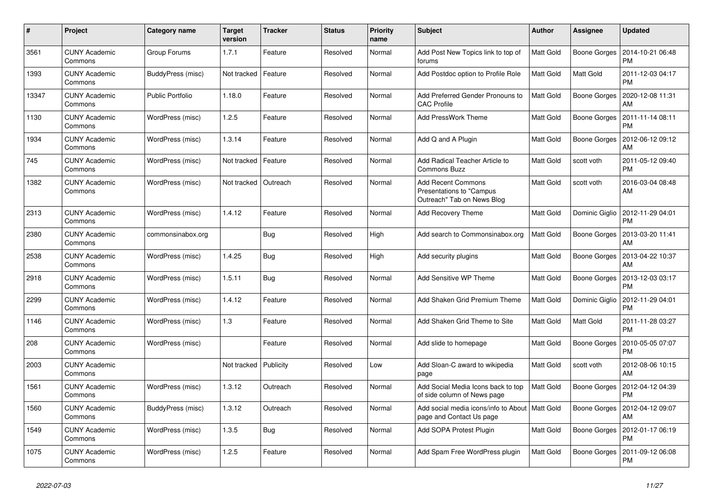| #     | Project                         | Category name           | <b>Target</b><br>version | <b>Tracker</b> | <b>Status</b> | <b>Priority</b><br>name | <b>Subject</b>                                                                       | <b>Author</b> | Assignee       | <b>Updated</b>                               |
|-------|---------------------------------|-------------------------|--------------------------|----------------|---------------|-------------------------|--------------------------------------------------------------------------------------|---------------|----------------|----------------------------------------------|
| 3561  | <b>CUNY Academic</b><br>Commons | Group Forums            | 1.7.1                    | Feature        | Resolved      | Normal                  | Add Post New Topics link to top of<br>forums                                         | Matt Gold     |                | Boone Gorges   2014-10-21 06:48<br><b>PM</b> |
| 1393  | <b>CUNY Academic</b><br>Commons | BuddyPress (misc)       | Not tracked              | Feature        | Resolved      | Normal                  | Add Postdoc option to Profile Role                                                   | Matt Gold     | Matt Gold      | 2011-12-03 04:17<br><b>PM</b>                |
| 13347 | <b>CUNY Academic</b><br>Commons | <b>Public Portfolio</b> | 1.18.0                   | Feature        | Resolved      | Normal                  | Add Preferred Gender Pronouns to<br><b>CAC Profile</b>                               | Matt Gold     | Boone Gorges   | 2020-12-08 11:31<br>AM                       |
| 1130  | <b>CUNY Academic</b><br>Commons | WordPress (misc)        | 1.2.5                    | Feature        | Resolved      | Normal                  | Add PressWork Theme                                                                  | Matt Gold     | Boone Gorges   | 2011-11-14 08:11<br><b>PM</b>                |
| 1934  | <b>CUNY Academic</b><br>Commons | WordPress (misc)        | 1.3.14                   | Feature        | Resolved      | Normal                  | Add Q and A Plugin                                                                   | Matt Gold     | Boone Gorges   | 2012-06-12 09:12<br>AM                       |
| 745   | <b>CUNY Academic</b><br>Commons | WordPress (misc)        | Not tracked              | Feature        | Resolved      | Normal                  | Add Radical Teacher Article to<br>Commons Buzz                                       | Matt Gold     | scott voth     | 2011-05-12 09:40<br><b>PM</b>                |
| 1382  | <b>CUNY Academic</b><br>Commons | WordPress (misc)        | Not tracked              | Outreach       | Resolved      | Normal                  | <b>Add Recent Commons</b><br>Presentations to "Campus"<br>Outreach" Tab on News Blog | Matt Gold     | scott voth     | 2016-03-04 08:48<br>AM                       |
| 2313  | <b>CUNY Academic</b><br>Commons | WordPress (misc)        | 1.4.12                   | Feature        | Resolved      | Normal                  | <b>Add Recovery Theme</b>                                                            | Matt Gold     | Dominic Giglio | 2012-11-29 04:01<br><b>PM</b>                |
| 2380  | <b>CUNY Academic</b><br>Commons | commonsinabox.org       |                          | <b>Bug</b>     | Resolved      | High                    | Add search to Commonsinabox.org                                                      | Matt Gold     | Boone Gorges   | 2013-03-20 11:41<br>AM                       |
| 2538  | <b>CUNY Academic</b><br>Commons | WordPress (misc)        | 1.4.25                   | Bug            | Resolved      | High                    | Add security plugins                                                                 | Matt Gold     | Boone Gorges   | 2013-04-22 10:37<br>AM                       |
| 2918  | <b>CUNY Academic</b><br>Commons | WordPress (misc)        | 1.5.11                   | <b>Bug</b>     | Resolved      | Normal                  | Add Sensitive WP Theme                                                               | Matt Gold     |                | Boone Gorges   2013-12-03 03:17<br><b>PM</b> |
| 2299  | <b>CUNY Academic</b><br>Commons | WordPress (misc)        | 1.4.12                   | Feature        | Resolved      | Normal                  | Add Shaken Grid Premium Theme                                                        | Matt Gold     | Dominic Giglio | 2012-11-29 04:01<br><b>PM</b>                |
| 1146  | <b>CUNY Academic</b><br>Commons | WordPress (misc)        | 1.3                      | Feature        | Resolved      | Normal                  | Add Shaken Grid Theme to Site                                                        | Matt Gold     | Matt Gold      | 2011-11-28 03:27<br><b>PM</b>                |
| 208   | <b>CUNY Academic</b><br>Commons | WordPress (misc)        |                          | Feature        | Resolved      | Normal                  | Add slide to homepage                                                                | Matt Gold     | Boone Gorges   | 2010-05-05 07:07<br><b>PM</b>                |
| 2003  | <b>CUNY Academic</b><br>Commons |                         | Not tracked              | Publicity      | Resolved      | Low                     | Add Sloan-C award to wikipedia<br>page                                               | Matt Gold     | scott voth     | 2012-08-06 10:15<br>AM                       |
| 1561  | <b>CUNY Academic</b><br>Commons | WordPress (misc)        | 1.3.12                   | Outreach       | Resolved      | Normal                  | Add Social Media Icons back to top<br>of side column of News page                    | Matt Gold     | Boone Gorges   | 2012-04-12 04:39<br><b>PM</b>                |
| 1560  | <b>CUNY Academic</b><br>Commons | BuddyPress (misc)       | 1.3.12                   | Outreach       | Resolved      | Normal                  | Add social media icons/info to About   Matt Gold<br>page and Contact Us page         |               | Boone Gorges   | 2012-04-12 09:07<br>AM                       |
| 1549  | <b>CUNY Academic</b><br>Commons | WordPress (misc)        | 1.3.5                    | Bug            | Resolved      | Normal                  | Add SOPA Protest Plugin                                                              | Matt Gold     |                | Boone Gorges   2012-01-17 06:19<br><b>PM</b> |
| 1075  | <b>CUNY Academic</b><br>Commons | WordPress (misc)        | 1.2.5                    | Feature        | Resolved      | Normal                  | Add Spam Free WordPress plugin                                                       | Matt Gold     | Boone Gorges   | 2011-09-12 06:08<br><b>PM</b>                |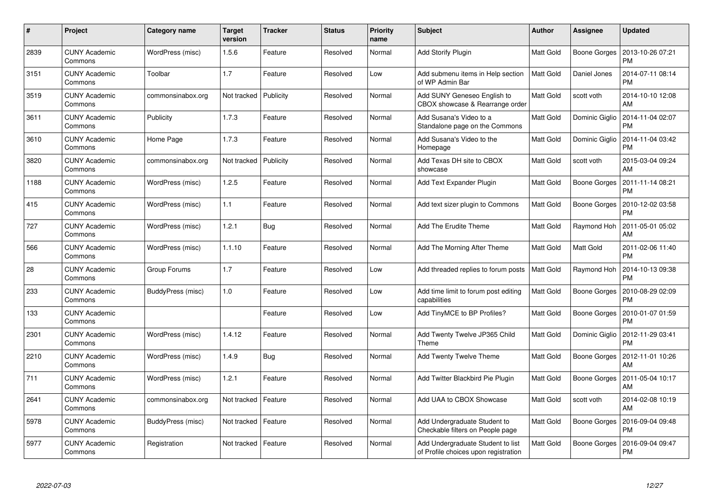| #    | Project                         | Category name     | Target<br>version | <b>Tracker</b> | <b>Status</b> | <b>Priority</b><br>name | <b>Subject</b>                                                            | <b>Author</b>    | Assignee            | <b>Updated</b>                |
|------|---------------------------------|-------------------|-------------------|----------------|---------------|-------------------------|---------------------------------------------------------------------------|------------------|---------------------|-------------------------------|
| 2839 | <b>CUNY Academic</b><br>Commons | WordPress (misc)  | 1.5.6             | Feature        | Resolved      | Normal                  | Add Storify Plugin                                                        | Matt Gold        | Boone Gorges        | 2013-10-26 07:21<br><b>PM</b> |
| 3151 | <b>CUNY Academic</b><br>Commons | Toolbar           | 1.7               | Feature        | Resolved      | Low                     | Add submenu items in Help section<br>of WP Admin Bar                      | <b>Matt Gold</b> | Daniel Jones        | 2014-07-11 08:14<br><b>PM</b> |
| 3519 | <b>CUNY Academic</b><br>Commons | commonsinabox.org | Not tracked       | Publicity      | Resolved      | Normal                  | Add SUNY Geneseo English to<br>CBOX showcase & Rearrange order            | Matt Gold        | scott voth          | 2014-10-10 12:08<br>AM        |
| 3611 | CUNY Academic<br>Commons        | Publicity         | 1.7.3             | Feature        | Resolved      | Normal                  | Add Susana's Video to a<br>Standalone page on the Commons                 | Matt Gold        | Dominic Giglio      | 2014-11-04 02:07<br><b>PM</b> |
| 3610 | <b>CUNY Academic</b><br>Commons | Home Page         | 1.7.3             | Feature        | Resolved      | Normal                  | Add Susana's Video to the<br>Homepage                                     | Matt Gold        | Dominic Giglio      | 2014-11-04 03:42<br><b>PM</b> |
| 3820 | <b>CUNY Academic</b><br>Commons | commonsinabox.org | Not tracked       | Publicity      | Resolved      | Normal                  | Add Texas DH site to CBOX<br>showcase                                     | Matt Gold        | scott voth          | 2015-03-04 09:24<br>AM        |
| 1188 | <b>CUNY Academic</b><br>Commons | WordPress (misc)  | 1.2.5             | Feature        | Resolved      | Normal                  | Add Text Expander Plugin                                                  | Matt Gold        | <b>Boone Gorges</b> | 2011-11-14 08:21<br><b>PM</b> |
| 415  | <b>CUNY Academic</b><br>Commons | WordPress (misc)  | 1.1               | Feature        | Resolved      | Normal                  | Add text sizer plugin to Commons                                          | Matt Gold        | Boone Gorges        | 2010-12-02 03:58<br><b>PM</b> |
| 727  | <b>CUNY Academic</b><br>Commons | WordPress (misc)  | 1.2.1             | <b>Bug</b>     | Resolved      | Normal                  | Add The Erudite Theme                                                     | Matt Gold        | Raymond Hoh         | 2011-05-01 05:02<br>AM        |
| 566  | <b>CUNY Academic</b><br>Commons | WordPress (misc)  | 1.1.10            | Feature        | Resolved      | Normal                  | Add The Morning After Theme                                               | Matt Gold        | Matt Gold           | 2011-02-06 11:40<br><b>PM</b> |
| 28   | <b>CUNY Academic</b><br>Commons | Group Forums      | 1.7               | Feature        | Resolved      | Low                     | Add threaded replies to forum posts                                       | Matt Gold        | Raymond Hoh         | 2014-10-13 09:38<br><b>PM</b> |
| 233  | <b>CUNY Academic</b><br>Commons | BuddyPress (misc) | 1.0               | Feature        | Resolved      | Low                     | Add time limit to forum post editing<br>capabilities                      | Matt Gold        | Boone Gorges        | 2010-08-29 02:09<br><b>PM</b> |
| 133  | <b>CUNY Academic</b><br>Commons |                   |                   | Feature        | Resolved      | Low                     | Add TinyMCE to BP Profiles?                                               | Matt Gold        | Boone Gorges        | 2010-01-07 01:59<br><b>PM</b> |
| 2301 | <b>CUNY Academic</b><br>Commons | WordPress (misc)  | 1.4.12            | Feature        | Resolved      | Normal                  | Add Twenty Twelve JP365 Child<br>Theme                                    | Matt Gold        | Dominic Giglio      | 2012-11-29 03:41<br><b>PM</b> |
| 2210 | <b>CUNY Academic</b><br>Commons | WordPress (misc)  | 1.4.9             | <b>Bug</b>     | Resolved      | Normal                  | Add Twenty Twelve Theme                                                   | Matt Gold        | Boone Gorges        | 2012-11-01 10:26<br>AM        |
| 711  | <b>CUNY Academic</b><br>Commons | WordPress (misc)  | 1.2.1             | Feature        | Resolved      | Normal                  | Add Twitter Blackbird Pie Plugin                                          | Matt Gold        | Boone Gorges        | 2011-05-04 10:17<br>AM        |
| 2641 | <b>CUNY Academic</b><br>Commons | commonsinabox.org | Not tracked       | Feature        | Resolved      | Normal                  | Add UAA to CBOX Showcase                                                  | Matt Gold        | scott voth          | 2014-02-08 10:19<br>AM        |
| 5978 | <b>CUNY Academic</b><br>Commons | BuddyPress (misc) | Not tracked       | Feature        | Resolved      | Normal                  | Add Undergraduate Student to<br>Checkable filters on People page          | Matt Gold        | <b>Boone Gorges</b> | 2016-09-04 09:48<br><b>PM</b> |
| 5977 | <b>CUNY Academic</b><br>Commons | Registration      | Not tracked       | Feature        | Resolved      | Normal                  | Add Undergraduate Student to list<br>of Profile choices upon registration | Matt Gold        | Boone Gorges        | 2016-09-04 09:47<br><b>PM</b> |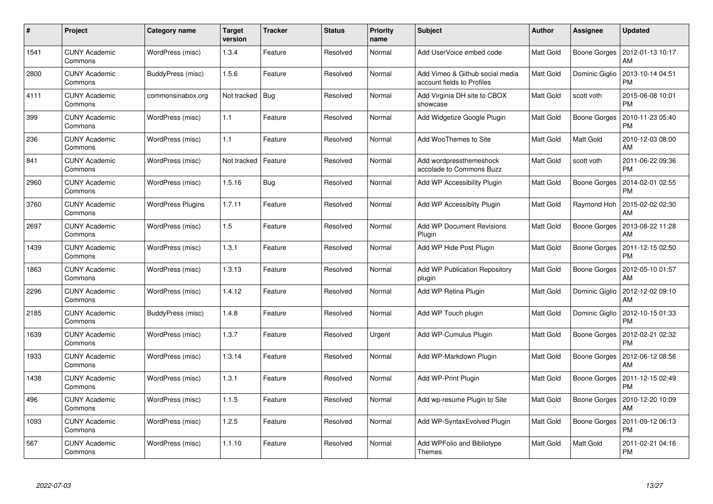| #    | Project                         | Category name            | <b>Target</b><br>version | <b>Tracker</b> | <b>Status</b> | <b>Priority</b><br>name | <b>Subject</b>                                                | <b>Author</b> | Assignee         | <b>Updated</b>                |
|------|---------------------------------|--------------------------|--------------------------|----------------|---------------|-------------------------|---------------------------------------------------------------|---------------|------------------|-------------------------------|
| 1541 | <b>CUNY Academic</b><br>Commons | WordPress (misc)         | 1.3.4                    | Feature        | Resolved      | Normal                  | Add UserVoice embed code                                      | Matt Gold     | Boone Gorges     | 2012-01-13 10:17<br>AM        |
| 2800 | <b>CUNY Academic</b><br>Commons | BuddyPress (misc)        | 1.5.6                    | Feature        | Resolved      | Normal                  | Add Vimeo & Github social media<br>account fields to Profiles | Matt Gold     | Dominic Giglio   | 2013-10-14 04:51<br><b>PM</b> |
| 4111 | <b>CUNY Academic</b><br>Commons | commonsinabox.org        | Not tracked              | <b>Bug</b>     | Resolved      | Normal                  | Add Virginia DH site to CBOX<br>showcase                      | Matt Gold     | scott voth       | 2015-06-08 10:01<br><b>PM</b> |
| 399  | <b>CUNY Academic</b><br>Commons | WordPress (misc)         | 1.1                      | Feature        | Resolved      | Normal                  | Add Widgetize Google Plugin                                   | Matt Gold     | Boone Gorges     | 2010-11-23 05:40<br><b>PM</b> |
| 236  | <b>CUNY Academic</b><br>Commons | WordPress (misc)         | 1.1                      | Feature        | Resolved      | Normal                  | Add WooThemes to Site                                         | Matt Gold     | Matt Gold        | 2010-12-03 08:00<br>AM        |
| 841  | <b>CUNY Academic</b><br>Commons | WordPress (misc)         | Not tracked              | Feature        | Resolved      | Normal                  | Add wordpressthemeshock<br>accolade to Commons Buzz           | Matt Gold     | scott voth       | 2011-06-22 09:36<br><b>PM</b> |
| 2960 | <b>CUNY Academic</b><br>Commons | WordPress (misc)         | 1.5.16                   | <b>Bug</b>     | Resolved      | Normal                  | Add WP Accessibility Plugin                                   | Matt Gold     | Boone Gorges     | 2014-02-01 02:55<br><b>PM</b> |
| 3760 | <b>CUNY Academic</b><br>Commons | <b>WordPress Plugins</b> | 1.7.11                   | Feature        | Resolved      | Normal                  | Add WP Accessiblity Plugin                                    | Matt Gold     | Raymond Hoh      | 2015-02-02 02:30<br>AM        |
| 2697 | <b>CUNY Academic</b><br>Commons | WordPress (misc)         | 1.5                      | Feature        | Resolved      | Normal                  | <b>Add WP Document Revisions</b><br>Plugin                    | Matt Gold     | Boone Gorges     | 2013-08-22 11:28<br>AM        |
| 1439 | <b>CUNY Academic</b><br>Commons | WordPress (misc)         | 1.3.1                    | Feature        | Resolved      | Normal                  | Add WP Hide Post Plugin                                       | Matt Gold     | Boone Gorges     | 2011-12-15 02:50<br><b>PM</b> |
| 1863 | <b>CUNY Academic</b><br>Commons | WordPress (misc)         | 1.3.13                   | Feature        | Resolved      | Normal                  | <b>Add WP Publication Repository</b><br>plugin                | Matt Gold     | Boone Gorges     | 2012-05-10 01:57<br>AM        |
| 2296 | <b>CUNY Academic</b><br>Commons | WordPress (misc)         | 1.4.12                   | Feature        | Resolved      | Normal                  | Add WP Retina Plugin                                          | Matt Gold     | Dominic Giglio   | 2012-12-02 09:10<br>AM        |
| 2185 | <b>CUNY Academic</b><br>Commons | BuddyPress (misc)        | 1.4.8                    | Feature        | Resolved      | Normal                  | Add WP Touch plugin                                           | Matt Gold     | Dominic Giglio   | 2012-10-15 01:33<br><b>PM</b> |
| 1639 | <b>CUNY Academic</b><br>Commons | WordPress (misc)         | 1.3.7                    | Feature        | Resolved      | Urgent                  | Add WP-Cumulus Plugin                                         | Matt Gold     | Boone Gorges     | 2012-02-21 02:32<br><b>PM</b> |
| 1933 | <b>CUNY Academic</b><br>Commons | WordPress (misc)         | 1.3.14                   | Feature        | Resolved      | Normal                  | Add WP-Markdown Plugin                                        | Matt Gold     | Boone Gorges     | 2012-06-12 08:56<br>AM        |
| 1438 | <b>CUNY Academic</b><br>Commons | WordPress (misc)         | 1.3.1                    | Feature        | Resolved      | Normal                  | Add WP-Print Plugin                                           | Matt Gold     | Boone Gorges     | 2011-12-15 02:49<br><b>PM</b> |
| 496  | <b>CUNY Academic</b><br>Commons | WordPress (misc)         | 1.1.5                    | Feature        | Resolved      | Normal                  | Add wp-resume Plugin to Site                                  | Matt Gold     | Boone Gorges     | 2010-12-20 10:09<br>AM        |
| 1093 | <b>CUNY Academic</b><br>Commons | WordPress (misc)         | 1.2.5                    | Feature        | Resolved      | Normal                  | Add WP-Syntax Evolved Plugin                                  | Matt Gold     | Boone Gorges     | 2011-09-12 06:13<br><b>PM</b> |
| 567  | CUNY Academic<br>Commons        | WordPress (misc)         | 1.1.10                   | Feature        | Resolved      | Normal                  | Add WPFolio and Bibliotype<br>Themes                          | Matt Gold     | <b>Matt Gold</b> | 2011-02-21 04:16<br><b>PM</b> |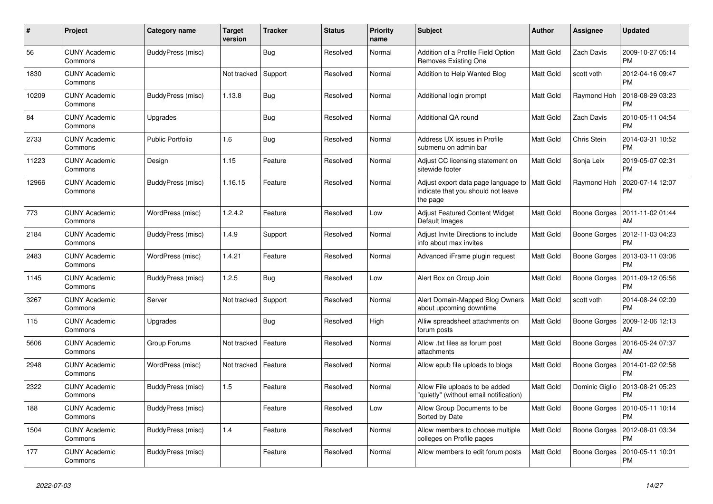| $\#$  | Project                         | Category name           | Target<br>version | <b>Tracker</b> | <b>Status</b> | <b>Priority</b><br>name | <b>Subject</b>                                                                        | <b>Author</b> | <b>Assignee</b>     | <b>Updated</b>                |
|-------|---------------------------------|-------------------------|-------------------|----------------|---------------|-------------------------|---------------------------------------------------------------------------------------|---------------|---------------------|-------------------------------|
| 56    | <b>CUNY Academic</b><br>Commons | BuddyPress (misc)       |                   | Bug            | Resolved      | Normal                  | Addition of a Profile Field Option<br>Removes Existing One                            | Matt Gold     | Zach Davis          | 2009-10-27 05:14<br><b>PM</b> |
| 1830  | <b>CUNY Academic</b><br>Commons |                         | Not tracked       | Support        | Resolved      | Normal                  | Addition to Help Wanted Blog                                                          | Matt Gold     | scott voth          | 2012-04-16 09:47<br><b>PM</b> |
| 10209 | <b>CUNY Academic</b><br>Commons | BuddyPress (misc)       | 1.13.8            | Bug            | Resolved      | Normal                  | Additional login prompt                                                               | Matt Gold     | Raymond Hoh         | 2018-08-29 03:23<br><b>PM</b> |
| 84    | <b>CUNY Academic</b><br>Commons | Upgrades                |                   | <b>Bug</b>     | Resolved      | Normal                  | Additional QA round                                                                   | Matt Gold     | Zach Davis          | 2010-05-11 04:54<br><b>PM</b> |
| 2733  | <b>CUNY Academic</b><br>Commons | <b>Public Portfolio</b> | 1.6               | <b>Bug</b>     | Resolved      | Normal                  | Address UX issues in Profile<br>submenu on admin bar                                  | Matt Gold     | Chris Stein         | 2014-03-31 10:52<br><b>PM</b> |
| 11223 | <b>CUNY Academic</b><br>Commons | Design                  | 1.15              | Feature        | Resolved      | Normal                  | Adjust CC licensing statement on<br>sitewide footer                                   | Matt Gold     | Sonja Leix          | 2019-05-07 02:31<br><b>PM</b> |
| 12966 | <b>CUNY Academic</b><br>Commons | BuddyPress (misc)       | 1.16.15           | Feature        | Resolved      | Normal                  | Adjust export data page language to<br>indicate that you should not leave<br>the page | Matt Gold     | Raymond Hoh         | 2020-07-14 12:07<br><b>PM</b> |
| 773   | <b>CUNY Academic</b><br>Commons | WordPress (misc)        | 1.2.4.2           | Feature        | Resolved      | Low                     | <b>Adjust Featured Content Widget</b><br>Default Images                               | Matt Gold     | Boone Gorges        | 2011-11-02 01:44<br>AM        |
| 2184  | <b>CUNY Academic</b><br>Commons | BuddyPress (misc)       | 1.4.9             | Support        | Resolved      | Normal                  | Adjust Invite Directions to include<br>info about max invites                         | Matt Gold     | Boone Gorges        | 2012-11-03 04:23<br><b>PM</b> |
| 2483  | <b>CUNY Academic</b><br>Commons | WordPress (misc)        | 1.4.21            | Feature        | Resolved      | Normal                  | Advanced iFrame plugin request                                                        | Matt Gold     | Boone Gorges        | 2013-03-11 03:06<br><b>PM</b> |
| 1145  | <b>CUNY Academic</b><br>Commons | BuddyPress (misc)       | 1.2.5             | <b>Bug</b>     | Resolved      | Low                     | Alert Box on Group Join                                                               | Matt Gold     | Boone Gorges        | 2011-09-12 05:56<br><b>PM</b> |
| 3267  | <b>CUNY Academic</b><br>Commons | Server                  | Not tracked       | Support        | Resolved      | Normal                  | Alert Domain-Mapped Blog Owners<br>about upcoming downtime                            | Matt Gold     | scott voth          | 2014-08-24 02:09<br><b>PM</b> |
| 115   | <b>CUNY Academic</b><br>Commons | Upgrades                |                   | <b>Bug</b>     | Resolved      | High                    | Alliw spreadsheet attachments on<br>forum posts                                       | Matt Gold     | <b>Boone Gorges</b> | 2009-12-06 12:13<br>AM        |
| 5606  | <b>CUNY Academic</b><br>Commons | Group Forums            | Not tracked       | Feature        | Resolved      | Normal                  | Allow .txt files as forum post<br>attachments                                         | Matt Gold     | Boone Gorges        | 2016-05-24 07:37<br>AM        |
| 2948  | <b>CUNY Academic</b><br>Commons | WordPress (misc)        | Not tracked       | Feature        | Resolved      | Normal                  | Allow epub file uploads to blogs                                                      | Matt Gold     | Boone Gorges        | 2014-01-02 02:58<br><b>PM</b> |
| 2322  | <b>CUNY Academic</b><br>Commons | BuddyPress (misc)       | 1.5               | Feature        | Resolved      | Normal                  | Allow File uploads to be added<br>'quietly" (without email notification)              | Matt Gold     | Dominic Giglio      | 2013-08-21 05:23<br><b>PM</b> |
| 188   | <b>CUNY Academic</b><br>Commons | BuddyPress (misc)       |                   | Feature        | Resolved      | Low                     | Allow Group Documents to be<br>Sorted by Date                                         | Matt Gold     | Boone Gorges        | 2010-05-11 10:14<br><b>PM</b> |
| 1504  | <b>CUNY Academic</b><br>Commons | BuddyPress (misc)       | 1.4               | Feature        | Resolved      | Normal                  | Allow members to choose multiple<br>colleges on Profile pages                         | Matt Gold     | Boone Gorges        | 2012-08-01 03:34<br><b>PM</b> |
| 177   | <b>CUNY Academic</b><br>Commons | BuddyPress (misc)       |                   | Feature        | Resolved      | Normal                  | Allow members to edit forum posts                                                     | Matt Gold     | Boone Gorges        | 2010-05-11 10:01<br><b>PM</b> |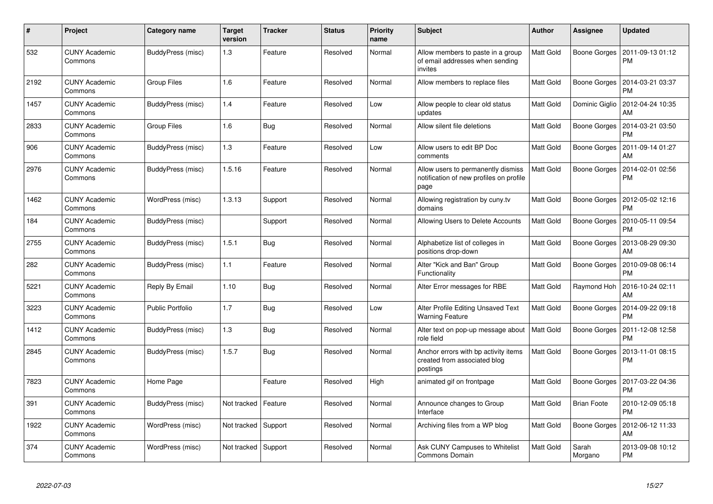| $\pmb{\#}$ | Project                         | Category name           | <b>Target</b><br>version | <b>Tracker</b> | <b>Status</b> | <b>Priority</b><br>name | <b>Subject</b>                                                                        | Author           | Assignee            | <b>Updated</b>                |
|------------|---------------------------------|-------------------------|--------------------------|----------------|---------------|-------------------------|---------------------------------------------------------------------------------------|------------------|---------------------|-------------------------------|
| 532        | <b>CUNY Academic</b><br>Commons | BuddyPress (misc)       | 1.3                      | Feature        | Resolved      | Normal                  | Allow members to paste in a group<br>of email addresses when sending<br>invites       | Matt Gold        | Boone Gorges        | 2011-09-13 01:12<br><b>PM</b> |
| 2192       | <b>CUNY Academic</b><br>Commons | Group Files             | 1.6                      | Feature        | Resolved      | Normal                  | Allow members to replace files                                                        | Matt Gold        | Boone Gorges        | 2014-03-21 03:37<br><b>PM</b> |
| 1457       | <b>CUNY Academic</b><br>Commons | BuddyPress (misc)       | 1.4                      | Feature        | Resolved      | Low                     | Allow people to clear old status<br>updates                                           | Matt Gold        | Dominic Giglio      | 2012-04-24 10:35<br>AM        |
| 2833       | <b>CUNY Academic</b><br>Commons | <b>Group Files</b>      | 1.6                      | Bug            | Resolved      | Normal                  | Allow silent file deletions                                                           | Matt Gold        | <b>Boone Gorges</b> | 2014-03-21 03:50<br><b>PM</b> |
| 906        | <b>CUNY Academic</b><br>Commons | BuddyPress (misc)       | 1.3                      | Feature        | Resolved      | Low                     | Allow users to edit BP Doc<br>comments                                                | Matt Gold        | Boone Gorges        | 2011-09-14 01:27<br>AM        |
| 2976       | <b>CUNY Academic</b><br>Commons | BuddyPress (misc)       | 1.5.16                   | Feature        | Resolved      | Normal                  | Allow users to permanently dismiss<br>notification of new profiles on profile<br>page | Matt Gold        | Boone Gorges        | 2014-02-01 02:56<br><b>PM</b> |
| 1462       | <b>CUNY Academic</b><br>Commons | WordPress (misc)        | 1.3.13                   | Support        | Resolved      | Normal                  | Allowing registration by cuny.tv<br>domains                                           | Matt Gold        | Boone Gorges        | 2012-05-02 12:16<br><b>PM</b> |
| 184        | <b>CUNY Academic</b><br>Commons | BuddyPress (misc)       |                          | Support        | Resolved      | Normal                  | Allowing Users to Delete Accounts                                                     | <b>Matt Gold</b> | Boone Gorges        | 2010-05-11 09:54<br><b>PM</b> |
| 2755       | <b>CUNY Academic</b><br>Commons | BuddyPress (misc)       | 1.5.1                    | Bug            | Resolved      | Normal                  | Alphabetize list of colleges in<br>positions drop-down                                | Matt Gold        | Boone Gorges        | 2013-08-29 09:30<br>AM        |
| 282        | <b>CUNY Academic</b><br>Commons | BuddyPress (misc)       | 1.1                      | Feature        | Resolved      | Normal                  | Alter "Kick and Ban" Group<br>Functionality                                           | Matt Gold        | Boone Gorges        | 2010-09-08 06:14<br><b>PM</b> |
| 5221       | <b>CUNY Academic</b><br>Commons | Reply By Email          | 1.10                     | <b>Bug</b>     | Resolved      | Normal                  | Alter Error messages for RBE                                                          | Matt Gold        | Raymond Hoh         | 2016-10-24 02:11<br>AM        |
| 3223       | <b>CUNY Academic</b><br>Commons | <b>Public Portfolio</b> | 1.7                      | <b>Bug</b>     | Resolved      | Low                     | Alter Profile Editing Unsaved Text<br><b>Warning Feature</b>                          | Matt Gold        | Boone Gorges        | 2014-09-22 09:18<br><b>PM</b> |
| 1412       | <b>CUNY Academic</b><br>Commons | BuddyPress (misc)       | $1.3$                    | <b>Bug</b>     | Resolved      | Normal                  | Alter text on pop-up message about<br>role field                                      | <b>Matt Gold</b> | <b>Boone Gorges</b> | 2011-12-08 12:58<br><b>PM</b> |
| 2845       | <b>CUNY Academic</b><br>Commons | BuddyPress (misc)       | 1.5.7                    | <b>Bug</b>     | Resolved      | Normal                  | Anchor errors with bp activity items<br>created from associated blog<br>postings      | Matt Gold        | Boone Gorges        | 2013-11-01 08:15<br><b>PM</b> |
| 7823       | <b>CUNY Academic</b><br>Commons | Home Page               |                          | Feature        | Resolved      | High                    | animated gif on frontpage                                                             | Matt Gold        | Boone Gorges        | 2017-03-22 04:36<br><b>PM</b> |
| 391        | <b>CUNY Academic</b><br>Commons | BuddyPress (misc)       | Not tracked              | Feature        | Resolved      | Normal                  | Announce changes to Group<br>Interface                                                | Matt Gold        | <b>Brian Foote</b>  | 2010-12-09 05:18<br><b>PM</b> |
| 1922       | <b>CUNY Academic</b><br>Commons | WordPress (misc)        | Not tracked              | Support        | Resolved      | Normal                  | Archiving files from a WP blog                                                        | Matt Gold        | Boone Gorges        | 2012-06-12 11:33<br>AM        |
| 374        | <b>CUNY Academic</b><br>Commons | WordPress (misc)        | Not tracked              | Support        | Resolved      | Normal                  | Ask CUNY Campuses to Whitelist<br><b>Commons Domain</b>                               | Matt Gold        | Sarah<br>Morgano    | 2013-09-08 10:12<br><b>PM</b> |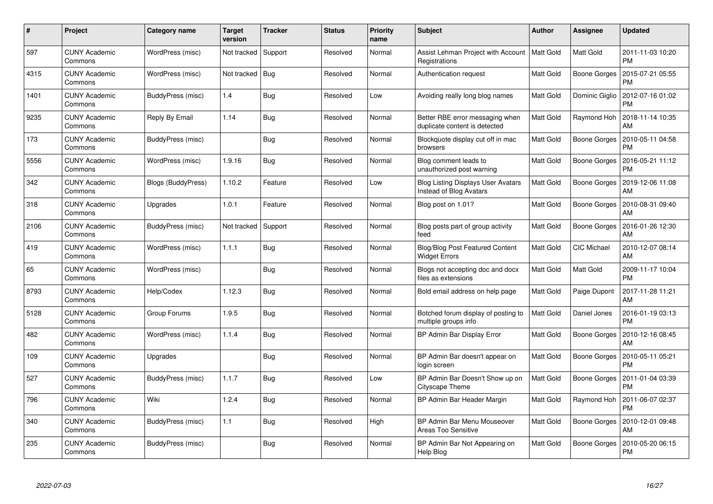| #    | Project                         | Category name             | <b>Target</b><br>version | <b>Tracker</b> | <b>Status</b> | <b>Priority</b><br>name | <b>Subject</b>                                                       | <b>Author</b> | <b>Assignee</b>     | <b>Updated</b>                |
|------|---------------------------------|---------------------------|--------------------------|----------------|---------------|-------------------------|----------------------------------------------------------------------|---------------|---------------------|-------------------------------|
| 597  | <b>CUNY Academic</b><br>Commons | WordPress (misc)          | Not tracked              | Support        | Resolved      | Normal                  | Assist Lehman Project with Account<br>Registrations                  | Matt Gold     | Matt Gold           | 2011-11-03 10:20<br><b>PM</b> |
| 4315 | <b>CUNY Academic</b><br>Commons | WordPress (misc)          | Not tracked              | Bug            | Resolved      | Normal                  | Authentication request                                               | Matt Gold     | Boone Gorges        | 2015-07-21 05:55<br><b>PM</b> |
| 1401 | <b>CUNY Academic</b><br>Commons | BuddyPress (misc)         | 1.4                      | <b>Bug</b>     | Resolved      | Low                     | Avoiding really long blog names                                      | Matt Gold     | Dominic Giglio      | 2012-07-16 01:02<br><b>PM</b> |
| 9235 | <b>CUNY Academic</b><br>Commons | Reply By Email            | 1.14                     | <b>Bug</b>     | Resolved      | Normal                  | Better RBE error messaging when<br>duplicate content is detected     | Matt Gold     | Raymond Hoh         | 2018-11-14 10:35<br>AM        |
| 173  | <b>CUNY Academic</b><br>Commons | BuddyPress (misc)         |                          | <b>Bug</b>     | Resolved      | Normal                  | Blockquote display cut off in mac<br>browsers                        | Matt Gold     | <b>Boone Gorges</b> | 2010-05-11 04:58<br><b>PM</b> |
| 5556 | <b>CUNY Academic</b><br>Commons | WordPress (misc)          | 1.9.16                   | <b>Bug</b>     | Resolved      | Normal                  | Blog comment leads to<br>unauthorized post warning                   | Matt Gold     | <b>Boone Gorges</b> | 2016-05-21 11:12<br><b>PM</b> |
| 342  | <b>CUNY Academic</b><br>Commons | <b>Blogs (BuddyPress)</b> | 1.10.2                   | Feature        | Resolved      | Low                     | <b>Blog Listing Displays User Avatars</b><br>Instead of Blog Avatars | Matt Gold     | Boone Gorges        | 2019-12-06 11:08<br>AM        |
| 318  | <b>CUNY Academic</b><br>Commons | Upgrades                  | 1.0.1                    | Feature        | Resolved      | Normal                  | Blog post on 1.01?                                                   | Matt Gold     | Boone Gorges        | 2010-08-31 09:40<br>AM        |
| 2106 | <b>CUNY Academic</b><br>Commons | BuddyPress (misc)         | Not tracked              | Support        | Resolved      | Normal                  | Blog posts part of group activity<br>feed                            | Matt Gold     | Boone Gorges        | 2016-01-26 12:30<br>AM        |
| 419  | <b>CUNY Academic</b><br>Commons | WordPress (misc)          | 1.1.1                    | Bug            | Resolved      | Normal                  | <b>Blog/Blog Post Featured Content</b><br><b>Widget Errors</b>       | Matt Gold     | <b>CIC Michael</b>  | 2010-12-07 08:14<br>AM        |
| 65   | <b>CUNY Academic</b><br>Commons | WordPress (misc)          |                          | Bug            | Resolved      | Normal                  | Blogs not accepting doc and docx<br>files as extensions              | Matt Gold     | Matt Gold           | 2009-11-17 10:04<br><b>PM</b> |
| 8793 | <b>CUNY Academic</b><br>Commons | Help/Codex                | 1.12.3                   | <b>Bug</b>     | Resolved      | Normal                  | Bold email address on help page                                      | Matt Gold     | Paige Dupont        | 2017-11-28 11:21<br>AM        |
| 5128 | <b>CUNY Academic</b><br>Commons | Group Forums              | 1.9.5                    | <b>Bug</b>     | Resolved      | Normal                  | Botched forum display of posting to<br>multiple groups info          | Matt Gold     | Daniel Jones        | 2016-01-19 03:13<br><b>PM</b> |
| 482  | <b>CUNY Academic</b><br>Commons | WordPress (misc)          | 1.1.4                    | Bug            | Resolved      | Normal                  | BP Admin Bar Display Error                                           | Matt Gold     | Boone Gorges        | 2010-12-16 08:45<br>AM        |
| 109  | CUNY Academic<br>Commons        | Upgrades                  |                          | <b>Bug</b>     | Resolved      | Normal                  | BP Admin Bar doesn't appear on<br>login screen                       | Matt Gold     | Boone Gorges        | 2010-05-11 05:21<br><b>PM</b> |
| 527  | <b>CUNY Academic</b><br>Commons | BuddyPress (misc)         | 1.1.7                    | Bug            | Resolved      | Low                     | BP Admin Bar Doesn't Show up on<br>Cityscape Theme                   | Matt Gold     | Boone Gorges        | 2011-01-04 03:39<br><b>PM</b> |
| 796  | <b>CUNY Academic</b><br>Commons | Wiki                      | 1.2.4                    | Bug            | Resolved      | Normal                  | BP Admin Bar Header Margin                                           | Matt Gold     | Raymond Hoh         | 2011-06-07 02:37<br><b>PM</b> |
| 340  | <b>CUNY Academic</b><br>Commons | BuddyPress (misc)         | 1.1                      | Bug            | Resolved      | High                    | BP Admin Bar Menu Mouseover<br>Areas Too Sensitive                   | Matt Gold     | Boone Gorges        | 2010-12-01 09:48<br>AM        |
| 235  | CUNY Academic<br>Commons        | BuddyPress (misc)         |                          | <b>Bug</b>     | Resolved      | Normal                  | BP Admin Bar Not Appearing on<br>Help Blog                           | Matt Gold     | Boone Gorges        | 2010-05-20 06:15<br><b>PM</b> |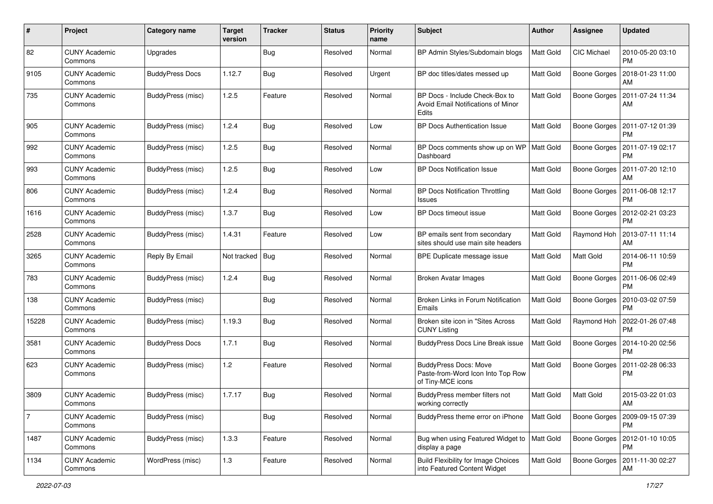| #              | Project                         | Category name            | <b>Target</b><br>version | <b>Tracker</b> | <b>Status</b> | <b>Priority</b><br>name | <b>Subject</b>                                                                         | Author           | <b>Assignee</b>     | <b>Updated</b>                               |
|----------------|---------------------------------|--------------------------|--------------------------|----------------|---------------|-------------------------|----------------------------------------------------------------------------------------|------------------|---------------------|----------------------------------------------|
| 82             | <b>CUNY Academic</b><br>Commons | Upgrades                 |                          | <b>Bug</b>     | Resolved      | Normal                  | BP Admin Styles/Subdomain blogs                                                        | Matt Gold        | CIC Michael         | 2010-05-20 03:10<br><b>PM</b>                |
| 9105           | <b>CUNY Academic</b><br>Commons | <b>BuddyPress Docs</b>   | 1.12.7                   | Bug            | Resolved      | Urgent                  | BP doc titles/dates messed up                                                          | Matt Gold        | Boone Gorges        | 2018-01-23 11:00<br>AM                       |
| 735            | <b>CUNY Academic</b><br>Commons | BuddyPress (misc)        | 1.2.5                    | Feature        | Resolved      | Normal                  | BP Docs - Include Check-Box to<br>Avoid Email Notifications of Minor<br>Edits          | Matt Gold        | Boone Gorges        | 2011-07-24 11:34<br>AM                       |
| 905            | <b>CUNY Academic</b><br>Commons | BuddyPress (misc)        | 1.2.4                    | <b>Bug</b>     | Resolved      | Low                     | <b>BP Docs Authentication Issue</b>                                                    | Matt Gold        | <b>Boone Gorges</b> | 2011-07-12 01:39<br><b>PM</b>                |
| 992            | <b>CUNY Academic</b><br>Commons | BuddyPress (misc)        | 1.2.5                    | <b>Bug</b>     | Resolved      | Normal                  | BP Docs comments show up on WP<br>Dashboard                                            | <b>Matt Gold</b> | <b>Boone Gorges</b> | 2011-07-19 02:17<br><b>PM</b>                |
| 993            | <b>CUNY Academic</b><br>Commons | BuddyPress (misc)        | 1.2.5                    | <b>Bug</b>     | Resolved      | Low                     | <b>BP Docs Notification Issue</b>                                                      | Matt Gold        | Boone Gorges        | 2011-07-20 12:10<br>AM                       |
| 806            | <b>CUNY Academic</b><br>Commons | BuddyPress (misc)        | 1.2.4                    | Bug            | Resolved      | Normal                  | <b>BP Docs Notification Throttling</b><br><b>Issues</b>                                | <b>Matt Gold</b> |                     | Boone Gorges   2011-06-08 12:17<br><b>PM</b> |
| 1616           | <b>CUNY Academic</b><br>Commons | BuddyPress (misc)        | 1.3.7                    | Bug            | Resolved      | Low                     | BP Docs timeout issue                                                                  | Matt Gold        | Boone Gorges        | 2012-02-21 03:23<br><b>PM</b>                |
| 2528           | <b>CUNY Academic</b><br>Commons | BuddyPress (misc)        | 1.4.31                   | Feature        | Resolved      | Low                     | BP emails sent from secondary<br>sites should use main site headers                    | Matt Gold        | Raymond Hoh         | 2013-07-11 11:14<br>AM                       |
| 3265           | <b>CUNY Academic</b><br>Commons | Reply By Email           | Not tracked              | <b>Bug</b>     | Resolved      | Normal                  | BPE Duplicate message issue                                                            | <b>Matt Gold</b> | Matt Gold           | 2014-06-11 10:59<br><b>PM</b>                |
| 783            | <b>CUNY Academic</b><br>Commons | BuddyPress (misc)        | 1.2.4                    | Bug            | Resolved      | Normal                  | <b>Broken Avatar Images</b>                                                            | Matt Gold        | <b>Boone Gorges</b> | 2011-06-06 02:49<br><b>PM</b>                |
| 138            | <b>CUNY Academic</b><br>Commons | BuddyPress (misc)        |                          | <b>Bug</b>     | Resolved      | Normal                  | Broken Links in Forum Notification<br>Emails                                           | Matt Gold        | <b>Boone Gorges</b> | 2010-03-02 07:59<br><b>PM</b>                |
| 15228          | <b>CUNY Academic</b><br>Commons | BuddyPress (misc)        | 1.19.3                   | <b>Bug</b>     | Resolved      | Normal                  | Broken site icon in "Sites Across<br><b>CUNY Listing</b>                               | Matt Gold        | Raymond Hoh         | 2022-01-26 07:48<br><b>PM</b>                |
| 3581           | <b>CUNY Academic</b><br>Commons | <b>BuddyPress Docs</b>   | 1.7.1                    | <b>Bug</b>     | Resolved      | Normal                  | BuddyPress Docs Line Break issue                                                       | Matt Gold        | Boone Gorges        | 2014-10-20 02:56<br><b>PM</b>                |
| 623            | <b>CUNY Academic</b><br>Commons | BuddyPress (misc)        | 1.2                      | Feature        | Resolved      | Normal                  | <b>BuddyPress Docs: Move</b><br>Paste-from-Word Icon Into Top Row<br>of Tiny-MCE icons | Matt Gold        | Boone Gorges        | 2011-02-28 06:33<br>PM                       |
| 3809           | <b>CUNY Academic</b><br>Commons | BuddyPress (misc)        | 1.7.17                   | <b>Bug</b>     | Resolved      | Normal                  | BuddyPress member filters not<br>working correctly                                     | Matt Gold        | <b>Matt Gold</b>    | 2015-03-22 01:03<br>AM                       |
| $\overline{7}$ | <b>CUNY Academic</b><br>Commons | BuddyPress (misc)        |                          | Bug            | Resolved      | Normal                  | BuddyPress theme error on iPhone                                                       | Matt Gold        |                     | Boone Gorges   2009-09-15 07:39<br><b>PM</b> |
| 1487           | <b>CUNY Academic</b><br>Commons | <b>BuddyPress</b> (misc) | 1.3.3                    | Feature        | Resolved      | Normal                  | Bug when using Featured Widget to<br>display a page                                    | Matt Gold        | <b>Boone Gorges</b> | 2012-01-10 10:05<br>PM                       |
| 1134           | <b>CUNY Academic</b><br>Commons | WordPress (misc)         | 1.3                      | Feature        | Resolved      | Normal                  | <b>Build Flexibility for Image Choices</b><br>into Featured Content Widget             | Matt Gold        |                     | Boone Gorges   2011-11-30 02:27<br>AM        |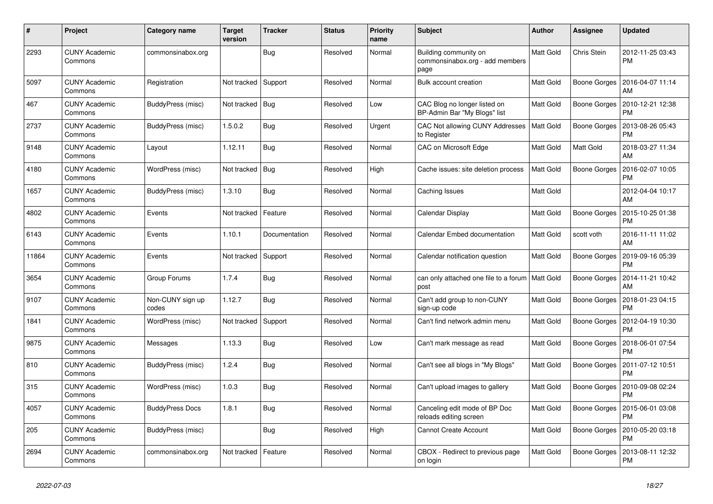| $\#$  | Project                         | Category name             | Target<br>version | <b>Tracker</b> | <b>Status</b> | <b>Priority</b><br>name | <b>Subject</b>                                                   | Author           | <b>Assignee</b>     | <b>Updated</b>                |
|-------|---------------------------------|---------------------------|-------------------|----------------|---------------|-------------------------|------------------------------------------------------------------|------------------|---------------------|-------------------------------|
| 2293  | <b>CUNY Academic</b><br>Commons | commonsinabox.org         |                   | Bug            | Resolved      | Normal                  | Building community on<br>commonsinabox.org - add members<br>page | Matt Gold        | Chris Stein         | 2012-11-25 03:43<br><b>PM</b> |
| 5097  | <b>CUNY Academic</b><br>Commons | Registration              | Not tracked       | Support        | Resolved      | Normal                  | Bulk account creation                                            | Matt Gold        | Boone Gorges        | 2016-04-07 11:14<br>AM        |
| 467   | <b>CUNY Academic</b><br>Commons | BuddyPress (misc)         | Not tracked       | Bug            | Resolved      | Low                     | CAC Blog no longer listed on<br>BP-Admin Bar "My Blogs" list     | Matt Gold        | Boone Gorges        | 2010-12-21 12:38<br><b>PM</b> |
| 2737  | <b>CUNY Academic</b><br>Commons | BuddyPress (misc)         | 1.5.0.2           | <b>Bug</b>     | Resolved      | Urgent                  | CAC Not allowing CUNY Addresses<br>to Register                   | Matt Gold        | <b>Boone Gorges</b> | 2013-08-26 05:43<br><b>PM</b> |
| 9148  | <b>CUNY Academic</b><br>Commons | Layout                    | 1.12.11           | Bug            | Resolved      | Normal                  | CAC on Microsoft Edge                                            | Matt Gold        | Matt Gold           | 2018-03-27 11:34<br>AM        |
| 4180  | <b>CUNY Academic</b><br>Commons | WordPress (misc)          | Not tracked       | Bug            | Resolved      | High                    | Cache issues: site deletion process                              | <b>Matt Gold</b> | Boone Gorges        | 2016-02-07 10:05<br><b>PM</b> |
| 1657  | <b>CUNY Academic</b><br>Commons | BuddyPress (misc)         | 1.3.10            | Bug            | Resolved      | Normal                  | Caching Issues                                                   | Matt Gold        |                     | 2012-04-04 10:17<br>AM        |
| 4802  | <b>CUNY Academic</b><br>Commons | Events                    | Not tracked       | Feature        | Resolved      | Normal                  | Calendar Display                                                 | Matt Gold        | Boone Gorges        | 2015-10-25 01:38<br><b>PM</b> |
| 6143  | <b>CUNY Academic</b><br>Commons | Events                    | 1.10.1            | Documentation  | Resolved      | Normal                  | Calendar Embed documentation                                     | Matt Gold        | scott voth          | 2016-11-11 11:02<br>AM        |
| 11864 | <b>CUNY Academic</b><br>Commons | Events                    | Not tracked       | Support        | Resolved      | Normal                  | Calendar notification question                                   | Matt Gold        | <b>Boone Gorges</b> | 2019-09-16 05:39<br><b>PM</b> |
| 3654  | <b>CUNY Academic</b><br>Commons | Group Forums              | 1.7.4             | <b>Bug</b>     | Resolved      | Normal                  | can only attached one file to a forum   Matt Gold<br>post        |                  | Boone Gorges        | 2014-11-21 10:42<br>AM        |
| 9107  | <b>CUNY Academic</b><br>Commons | Non-CUNY sign up<br>codes | 1.12.7            | Bug            | Resolved      | Normal                  | Can't add group to non-CUNY<br>sign-up code                      | Matt Gold        | Boone Gorges        | 2018-01-23 04:15<br><b>PM</b> |
| 1841  | <b>CUNY Academic</b><br>Commons | WordPress (misc)          | Not tracked       | Support        | Resolved      | Normal                  | Can't find network admin menu                                    | Matt Gold        | <b>Boone Gorges</b> | 2012-04-19 10:30<br><b>PM</b> |
| 9875  | <b>CUNY Academic</b><br>Commons | Messages                  | 1.13.3            | <b>Bug</b>     | Resolved      | Low                     | Can't mark message as read                                       | Matt Gold        | Boone Gorges        | 2018-06-01 07:54<br><b>PM</b> |
| 810   | <b>CUNY Academic</b><br>Commons | BuddyPress (misc)         | 1.2.4             | Bug            | Resolved      | Normal                  | Can't see all blogs in "My Blogs"                                | Matt Gold        | Boone Gorges        | 2011-07-12 10:51<br><b>PM</b> |
| 315   | <b>CUNY Academic</b><br>Commons | WordPress (misc)          | 1.0.3             | Bug            | Resolved      | Normal                  | Can't upload images to gallery                                   | Matt Gold        | <b>Boone Gorges</b> | 2010-09-08 02:24<br><b>PM</b> |
| 4057  | <b>CUNY Academic</b><br>Commons | <b>BuddyPress Docs</b>    | 1.8.1             | <b>Bug</b>     | Resolved      | Normal                  | Canceling edit mode of BP Doc<br>reloads editing screen          | Matt Gold        | Boone Gorges        | 2015-06-01 03:08<br><b>PM</b> |
| 205   | <b>CUNY Academic</b><br>Commons | BuddyPress (misc)         |                   | Bug            | Resolved      | High                    | <b>Cannot Create Account</b>                                     | Matt Gold        | Boone Gorges        | 2010-05-20 03:18<br><b>PM</b> |
| 2694  | <b>CUNY Academic</b><br>Commons | commonsinabox.org         | Not tracked       | Feature        | Resolved      | Normal                  | CBOX - Redirect to previous page<br>on login                     | Matt Gold        | Boone Gorges        | 2013-08-11 12:32<br><b>PM</b> |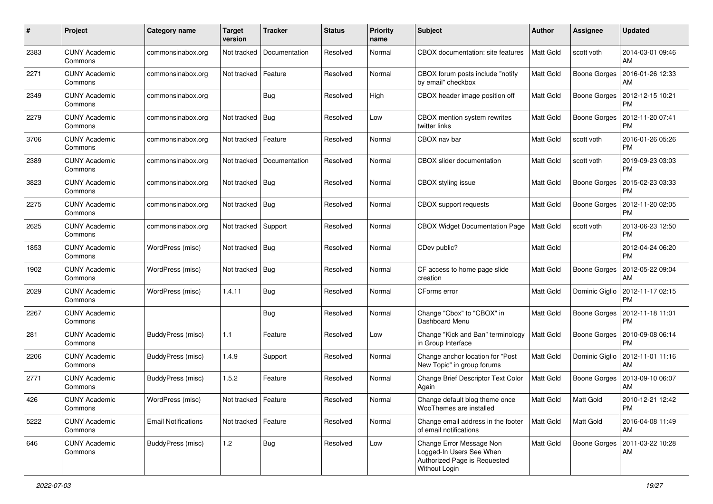| #    | Project                         | Category name              | <b>Target</b><br>version | <b>Tracker</b> | <b>Status</b> | <b>Priority</b><br>name | <b>Subject</b>                                                                                        | <b>Author</b>    | <b>Assignee</b>     | <b>Updated</b>                          |
|------|---------------------------------|----------------------------|--------------------------|----------------|---------------|-------------------------|-------------------------------------------------------------------------------------------------------|------------------|---------------------|-----------------------------------------|
| 2383 | <b>CUNY Academic</b><br>Commons | commonsinabox.org          | Not tracked              | Documentation  | Resolved      | Normal                  | CBOX documentation: site features                                                                     | Matt Gold        | scott voth          | 2014-03-01 09:46<br>AM                  |
| 2271 | <b>CUNY Academic</b><br>Commons | commonsinabox.org          | Not tracked              | Feature        | Resolved      | Normal                  | CBOX forum posts include "notify<br>by email" checkbox                                                | Matt Gold        | <b>Boone Gorges</b> | 2016-01-26 12:33<br>AM                  |
| 2349 | <b>CUNY Academic</b><br>Commons | commonsinabox.org          |                          | Bug            | Resolved      | High                    | CBOX header image position off                                                                        | Matt Gold        | <b>Boone Gorges</b> | 2012-12-15 10:21<br>PM                  |
| 2279 | <b>CUNY Academic</b><br>Commons | commonsinabox.org          | Not tracked              | Bug            | Resolved      | Low                     | CBOX mention system rewrites<br>twitter links                                                         | Matt Gold        | <b>Boone Gorges</b> | 2012-11-20 07:41<br><b>PM</b>           |
| 3706 | <b>CUNY Academic</b><br>Commons | commonsinabox.org          | Not tracked              | Feature        | Resolved      | Normal                  | CBOX nav bar                                                                                          | <b>Matt Gold</b> | scott voth          | 2016-01-26 05:26<br><b>PM</b>           |
| 2389 | <b>CUNY Academic</b><br>Commons | commonsinabox.org          | Not tracked              | Documentation  | Resolved      | Normal                  | <b>CBOX</b> slider documentation                                                                      | Matt Gold        | scott voth          | 2019-09-23 03:03<br><b>PM</b>           |
| 3823 | <b>CUNY Academic</b><br>Commons | commonsinabox.org          | Not tracked   Bug        |                | Resolved      | Normal                  | CBOX styling issue                                                                                    | Matt Gold        | Boone Gorges        | 2015-02-23 03:33<br><b>PM</b>           |
| 2275 | <b>CUNY Academic</b><br>Commons | commonsinabox.org          | Not tracked   Bug        |                | Resolved      | Normal                  | CBOX support requests                                                                                 | Matt Gold        | Boone Gorges        | 2012-11-20 02:05<br><b>PM</b>           |
| 2625 | <b>CUNY Academic</b><br>Commons | commonsinabox.org          | Not tracked Support      |                | Resolved      | Normal                  | <b>CBOX Widget Documentation Page</b>                                                                 | <b>Matt Gold</b> | scott voth          | 2013-06-23 12:50<br><b>PM</b>           |
| 1853 | <b>CUNY Academic</b><br>Commons | WordPress (misc)           | Not tracked   Bug        |                | Resolved      | Normal                  | CDev public?                                                                                          | Matt Gold        |                     | 2012-04-24 06:20<br><b>PM</b>           |
| 1902 | <b>CUNY Academic</b><br>Commons | WordPress (misc)           | Not tracked   Bug        |                | Resolved      | Normal                  | CF access to home page slide<br>creation                                                              | Matt Gold        | <b>Boone Gorges</b> | 2012-05-22 09:04<br>AM                  |
| 2029 | <b>CUNY Academic</b><br>Commons | WordPress (misc)           | 1.4.11                   | Bug            | Resolved      | Normal                  | CForms error                                                                                          | <b>Matt Gold</b> |                     | Dominic Giglio   2012-11-17 02:15<br>PM |
| 2267 | <b>CUNY Academic</b><br>Commons |                            |                          | <b>Bug</b>     | Resolved      | Normal                  | Change "Cbox" to "CBOX" in<br>Dashboard Menu                                                          | <b>Matt Gold</b> | Boone Gorges        | 2012-11-18 11:01<br><b>PM</b>           |
| 281  | <b>CUNY Academic</b><br>Commons | BuddyPress (misc)          | 1.1                      | Feature        | Resolved      | Low                     | Change "Kick and Ban" terminology<br>in Group Interface                                               | Matt Gold        | Boone Gorges        | 2010-09-08 06:14<br><b>PM</b>           |
| 2206 | <b>CUNY Academic</b><br>Commons | BuddyPress (misc)          | 1.4.9                    | Support        | Resolved      | Normal                  | Change anchor location for "Post<br>New Topic" in group forums                                        | Matt Gold        | Dominic Giglio      | 2012-11-01 11:16<br>AM                  |
| 2771 | <b>CUNY Academic</b><br>Commons | BuddyPress (misc)          | 1.5.2                    | Feature        | Resolved      | Normal                  | Change Brief Descriptor Text Color<br>Again                                                           | Matt Gold        | Boone Gorges        | 2013-09-10 06:07<br>AM                  |
| 426  | <b>CUNY Academic</b><br>Commons | WordPress (misc)           | Not tracked   Feature    |                | Resolved      | Normal                  | Change default blog theme once<br>WooThemes are installed                                             | Matt Gold        | <b>Matt Gold</b>    | 2010-12-21 12:42<br><b>PM</b>           |
| 5222 | <b>CUNY Academic</b><br>Commons | <b>Email Notifications</b> | Not tracked   Feature    |                | Resolved      | Normal                  | Change email address in the footer<br>of email notifications                                          | Matt Gold        | Matt Gold           | 2016-04-08 11:49<br>AM                  |
| 646  | <b>CUNY Academic</b><br>Commons | BuddyPress (misc)          | 1.2                      | <b>Bug</b>     | Resolved      | Low                     | Change Error Message Non<br>Logged-In Users See When<br>Authorized Page is Requested<br>Without Login | Matt Gold        |                     | Boone Gorges   2011-03-22 10:28<br>AM   |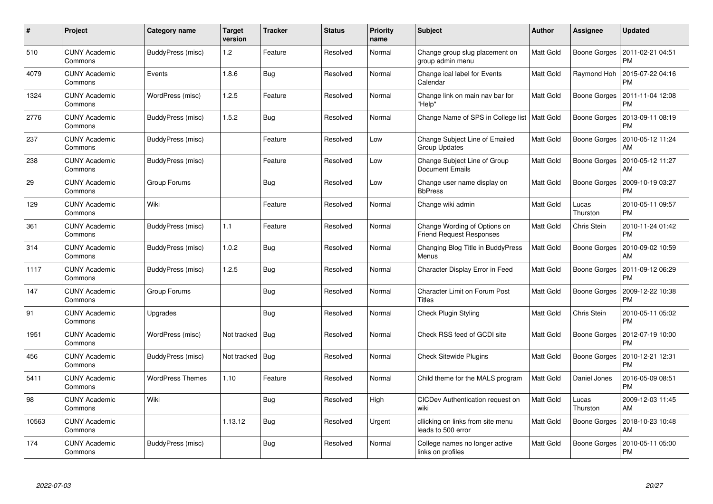| #     | Project                         | Category name           | <b>Target</b><br>version | <b>Tracker</b> | <b>Status</b> | <b>Priority</b><br>name | <b>Subject</b>                                                  | <b>Author</b>    | <b>Assignee</b>     | <b>Updated</b>                |
|-------|---------------------------------|-------------------------|--------------------------|----------------|---------------|-------------------------|-----------------------------------------------------------------|------------------|---------------------|-------------------------------|
| 510   | <b>CUNY Academic</b><br>Commons | BuddyPress (misc)       | 1.2                      | Feature        | Resolved      | Normal                  | Change group slug placement on<br>group admin menu              | <b>Matt Gold</b> | Boone Gorges        | 2011-02-21 04:51<br><b>PM</b> |
| 4079  | <b>CUNY Academic</b><br>Commons | Events                  | 1.8.6                    | Bug            | Resolved      | Normal                  | Change ical label for Events<br>Calendar                        | Matt Gold        | Raymond Hoh         | 2015-07-22 04:16<br><b>PM</b> |
| 1324  | <b>CUNY Academic</b><br>Commons | WordPress (misc)        | 1.2.5                    | Feature        | Resolved      | Normal                  | Change link on main nav bar for<br>"Help"                       | Matt Gold        | <b>Boone Gorges</b> | 2011-11-04 12:08<br><b>PM</b> |
| 2776  | <b>CUNY Academic</b><br>Commons | BuddyPress (misc)       | 1.5.2                    | Bug            | Resolved      | Normal                  | Change Name of SPS in College list   Matt Gold                  |                  | Boone Gorges        | 2013-09-11 08:19<br><b>PM</b> |
| 237   | <b>CUNY Academic</b><br>Commons | BuddyPress (misc)       |                          | Feature        | Resolved      | Low                     | Change Subject Line of Emailed<br><b>Group Updates</b>          | Matt Gold        | Boone Gorges        | 2010-05-12 11:24<br>AM        |
| 238   | <b>CUNY Academic</b><br>Commons | BuddyPress (misc)       |                          | Feature        | Resolved      | Low                     | Change Subject Line of Group<br><b>Document Emails</b>          | Matt Gold        | Boone Gorges        | 2010-05-12 11:27<br>AM        |
| 29    | <b>CUNY Academic</b><br>Commons | Group Forums            |                          | Bug            | Resolved      | Low                     | Change user name display on<br><b>BbPress</b>                   | Matt Gold        | <b>Boone Gorges</b> | 2009-10-19 03:27<br><b>PM</b> |
| 129   | <b>CUNY Academic</b><br>Commons | Wiki                    |                          | Feature        | Resolved      | Normal                  | Change wiki admin                                               | Matt Gold        | Lucas<br>Thurston   | 2010-05-11 09:57<br><b>PM</b> |
| 361   | <b>CUNY Academic</b><br>Commons | BuddyPress (misc)       | 1.1                      | Feature        | Resolved      | Normal                  | Change Wording of Options on<br><b>Friend Request Responses</b> | <b>Matt Gold</b> | Chris Stein         | 2010-11-24 01:42<br><b>PM</b> |
| 314   | <b>CUNY Academic</b><br>Commons | BuddyPress (misc)       | 1.0.2                    | <b>Bug</b>     | Resolved      | Normal                  | Changing Blog Title in BuddyPress<br>Menus                      | <b>Matt Gold</b> | Boone Gorges        | 2010-09-02 10:59<br>AM        |
| 1117  | <b>CUNY Academic</b><br>Commons | BuddyPress (misc)       | 1.2.5                    | <b>Bug</b>     | Resolved      | Normal                  | Character Display Error in Feed                                 | Matt Gold        | Boone Gorges        | 2011-09-12 06:29<br><b>PM</b> |
| 147   | <b>CUNY Academic</b><br>Commons | Group Forums            |                          | <b>Bug</b>     | Resolved      | Normal                  | Character Limit on Forum Post<br><b>Titles</b>                  | Matt Gold        | Boone Gorges        | 2009-12-22 10:38<br><b>PM</b> |
| 91    | <b>CUNY Academic</b><br>Commons | Upgrades                |                          | <b>Bug</b>     | Resolved      | Normal                  | <b>Check Plugin Styling</b>                                     | Matt Gold        | Chris Stein         | 2010-05-11 05:02<br><b>PM</b> |
| 1951  | <b>CUNY Academic</b><br>Commons | WordPress (misc)        | Not tracked              | Bug            | Resolved      | Normal                  | Check RSS feed of GCDI site                                     | Matt Gold        | Boone Gorges        | 2012-07-19 10:00<br><b>PM</b> |
| 456   | <b>CUNY Academic</b><br>Commons | BuddyPress (misc)       | Not tracked Bug          |                | Resolved      | Normal                  | <b>Check Sitewide Plugins</b>                                   | <b>Matt Gold</b> | Boone Gorges        | 2010-12-21 12:31<br><b>PM</b> |
| 5411  | <b>CUNY Academic</b><br>Commons | <b>WordPress Themes</b> | 1.10                     | Feature        | Resolved      | Normal                  | Child theme for the MALS program                                | Matt Gold        | Daniel Jones        | 2016-05-09 08:51<br><b>PM</b> |
| 98    | <b>CUNY Academic</b><br>Commons | Wiki                    |                          | <b>Bug</b>     | Resolved      | High                    | CICDev Authentication request on<br>wiki                        | Matt Gold        | Lucas<br>Thurston   | 2009-12-03 11:45<br>AM        |
| 10563 | <b>CUNY Academic</b><br>Commons |                         | 1.13.12                  | Bug            | Resolved      | Urgent                  | cllicking on links from site menu<br>leads to 500 error         | Matt Gold        | Boone Gorges        | 2018-10-23 10:48<br>AM        |
| 174   | <b>CUNY Academic</b><br>Commons | BuddyPress (misc)       |                          | <b>Bug</b>     | Resolved      | Normal                  | College names no longer active<br>links on profiles             | Matt Gold        | <b>Boone Gorges</b> | 2010-05-11 05:00<br><b>PM</b> |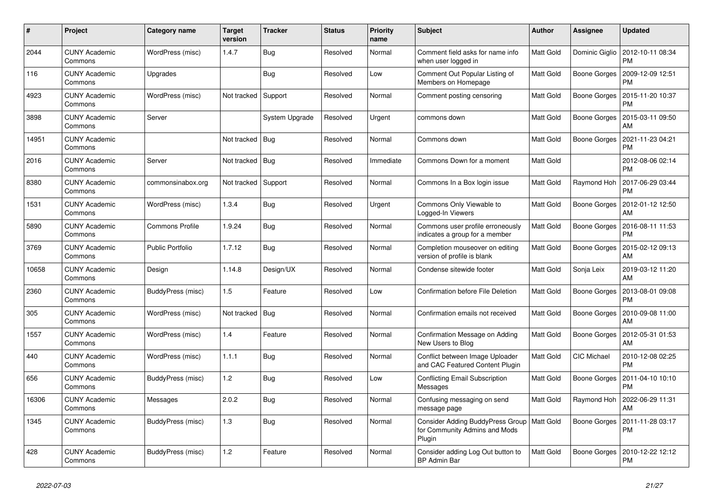| #     | Project                         | Category name           | <b>Target</b><br>version | <b>Tracker</b> | <b>Status</b> | Priority<br>name | <b>Subject</b>                                                                          | <b>Author</b>    | <b>Assignee</b>     | <b>Updated</b>                                 |
|-------|---------------------------------|-------------------------|--------------------------|----------------|---------------|------------------|-----------------------------------------------------------------------------------------|------------------|---------------------|------------------------------------------------|
| 2044  | <b>CUNY Academic</b><br>Commons | WordPress (misc)        | 1.4.7                    | Bug            | Resolved      | Normal           | Comment field asks for name info<br>when user logged in                                 | Matt Gold        |                     | Dominic Giglio   2012-10-11 08:34<br><b>PM</b> |
| 116   | <b>CUNY Academic</b><br>Commons | Upgrades                |                          | Bug            | Resolved      | Low              | Comment Out Popular Listing of<br>Members on Homepage                                   | Matt Gold        | Boone Gorges        | 2009-12-09 12:51<br><b>PM</b>                  |
| 4923  | <b>CUNY Academic</b><br>Commons | WordPress (misc)        | Not tracked              | Support        | Resolved      | Normal           | Comment posting censoring                                                               | Matt Gold        | Boone Gorges        | 2015-11-20 10:37<br><b>PM</b>                  |
| 3898  | <b>CUNY Academic</b><br>Commons | Server                  |                          | System Upgrade | Resolved      | Urgent           | commons down                                                                            | Matt Gold        | Boone Gorges        | 2015-03-11 09:50<br>AM                         |
| 14951 | <b>CUNY Academic</b><br>Commons |                         | Not tracked              | Bua            | Resolved      | Normal           | Commons down                                                                            | Matt Gold        | Boone Gorges        | 2021-11-23 04:21<br><b>PM</b>                  |
| 2016  | <b>CUNY Academic</b><br>Commons | Server                  | Not tracked   Bug        |                | Resolved      | Immediate        | Commons Down for a moment                                                               | Matt Gold        |                     | 2012-08-06 02:14<br><b>PM</b>                  |
| 8380  | <b>CUNY Academic</b><br>Commons | commonsinabox.org       | Not tracked Support      |                | Resolved      | Normal           | Commons In a Box login issue                                                            | <b>Matt Gold</b> | Raymond Hoh         | 2017-06-29 03:44<br><b>PM</b>                  |
| 1531  | <b>CUNY Academic</b><br>Commons | WordPress (misc)        | 1.3.4                    | Bug            | Resolved      | Urgent           | Commons Only Viewable to<br>Logged-In Viewers                                           | Matt Gold        | Boone Gorges        | 2012-01-12 12:50<br>AM                         |
| 5890  | <b>CUNY Academic</b><br>Commons | Commons Profile         | 1.9.24                   | <b>Bug</b>     | Resolved      | Normal           | Commons user profile erroneously<br>indicates a group for a member                      | <b>Matt Gold</b> | <b>Boone Gorges</b> | 2016-08-11 11:53<br><b>PM</b>                  |
| 3769  | <b>CUNY Academic</b><br>Commons | <b>Public Portfolio</b> | 1.7.12                   | <b>Bug</b>     | Resolved      | Normal           | Completion mouseover on editing<br>version of profile is blank                          | Matt Gold        | Boone Gorges        | 2015-02-12 09:13<br>AM                         |
| 10658 | <b>CUNY Academic</b><br>Commons | Design                  | 1.14.8                   | Design/UX      | Resolved      | Normal           | Condense sitewide footer                                                                | Matt Gold        | Sonja Leix          | 2019-03-12 11:20<br>AM                         |
| 2360  | <b>CUNY Academic</b><br>Commons | BuddyPress (misc)       | 1.5                      | Feature        | Resolved      | Low              | Confirmation before File Deletion                                                       | Matt Gold        | <b>Boone Gorges</b> | 2013-08-01 09:08<br><b>PM</b>                  |
| 305   | <b>CUNY Academic</b><br>Commons | WordPress (misc)        | Not tracked              | Bug            | Resolved      | Normal           | Confirmation emails not received                                                        | Matt Gold        | Boone Gorges        | 2010-09-08 11:00<br>AM                         |
| 1557  | <b>CUNY Academic</b><br>Commons | WordPress (misc)        | 1.4                      | Feature        | Resolved      | Normal           | Confirmation Message on Adding<br>New Users to Blog                                     | <b>Matt Gold</b> | Boone Gorges        | 2012-05-31 01:53<br>AM                         |
| 440   | <b>CUNY Academic</b><br>Commons | WordPress (misc)        | 1.1.1                    | Bug            | Resolved      | Normal           | Conflict between Image Uploader<br>and CAC Featured Content Plugin                      | Matt Gold        | <b>CIC Michael</b>  | 2010-12-08 02:25<br><b>PM</b>                  |
| 656   | <b>CUNY Academic</b><br>Commons | BuddyPress (misc)       | 1.2                      | Bug            | Resolved      | Low              | <b>Conflicting Email Subscription</b><br>Messages                                       | Matt Gold        | <b>Boone Gorges</b> | 2011-04-10 10:10<br><b>PM</b>                  |
| 16306 | <b>CUNY Academic</b><br>Commons | Messages                | 2.0.2                    | Bug            | Resolved      | Normal           | Confusing messaging on send<br>message page                                             | Matt Gold        | Raymond Hoh         | 2022-06-29 11:31<br>AM                         |
| 1345  | <b>CUNY Academic</b><br>Commons | BuddyPress (misc)       | 1.3                      | Bug            | Resolved      | Normal           | Consider Adding BuddyPress Group   Matt Gold<br>for Community Admins and Mods<br>Plugin |                  | Boone Gorges        | 2011-11-28 03:17<br><b>PM</b>                  |
| 428   | <b>CUNY Academic</b><br>Commons | BuddyPress (misc)       | 1.2                      | Feature        | Resolved      | Normal           | Consider adding Log Out button to<br><b>BP Admin Bar</b>                                | Matt Gold        | <b>Boone Gorges</b> | 2010-12-22 12:12<br><b>PM</b>                  |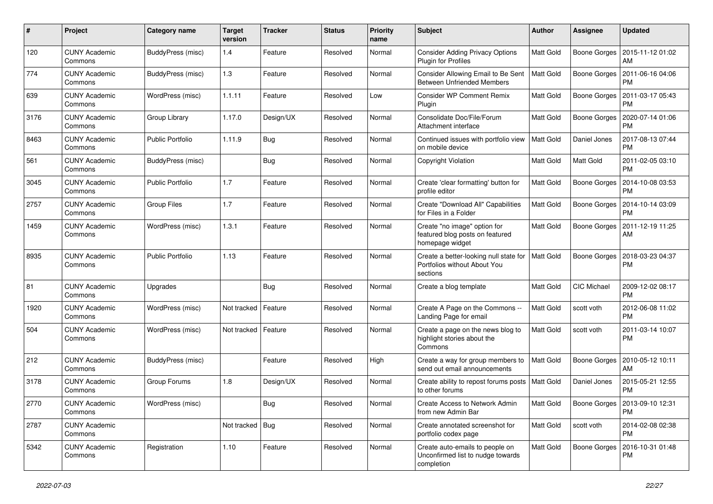| #    | Project                         | Category name           | <b>Target</b><br>version | <b>Tracker</b> | <b>Status</b> | <b>Priority</b><br>name | Subject                                                                            | <b>Author</b>    | Assignee            | <b>Updated</b>                               |
|------|---------------------------------|-------------------------|--------------------------|----------------|---------------|-------------------------|------------------------------------------------------------------------------------|------------------|---------------------|----------------------------------------------|
| 120  | <b>CUNY Academic</b><br>Commons | BuddyPress (misc)       | 1.4                      | Feature        | Resolved      | Normal                  | <b>Consider Adding Privacy Options</b><br>Plugin for Profiles                      | Matt Gold        | Boone Gorges        | 2015-11-12 01:02<br>AM                       |
| 774  | <b>CUNY Academic</b><br>Commons | BuddyPress (misc)       | 1.3                      | Feature        | Resolved      | Normal                  | Consider Allowing Email to Be Sent<br><b>Between Unfriended Members</b>            | <b>Matt Gold</b> | <b>Boone Gorges</b> | 2011-06-16 04:06<br><b>PM</b>                |
| 639  | <b>CUNY Academic</b><br>Commons | WordPress (misc)        | 1.1.11                   | Feature        | Resolved      | Low                     | <b>Consider WP Comment Remix</b><br>Plugin                                         | Matt Gold        | <b>Boone Gorges</b> | 2011-03-17 05:43<br><b>PM</b>                |
| 3176 | <b>CUNY Academic</b><br>Commons | Group Library           | 1.17.0                   | Design/UX      | Resolved      | Normal                  | Consolidate Doc/File/Forum<br>Attachment interface                                 | Matt Gold        | <b>Boone Gorges</b> | 2020-07-14 01:06<br><b>PM</b>                |
| 8463 | <b>CUNY Academic</b><br>Commons | <b>Public Portfolio</b> | 1.11.9                   | Bug            | Resolved      | Normal                  | Continued issues with portfolio view<br>on mobile device                           | Matt Gold        | Daniel Jones        | 2017-08-13 07:44<br><b>PM</b>                |
| 561  | <b>CUNY Academic</b><br>Commons | BuddyPress (misc)       |                          | Bug            | Resolved      | Normal                  | Copyright Violation                                                                | Matt Gold        | Matt Gold           | 2011-02-05 03:10<br><b>PM</b>                |
| 3045 | <b>CUNY Academic</b><br>Commons | Public Portfolio        | 1.7                      | Feature        | Resolved      | Normal                  | Create 'clear formatting' button for<br>profile editor                             | Matt Gold        | <b>Boone Gorges</b> | 2014-10-08 03:53<br><b>PM</b>                |
| 2757 | <b>CUNY Academic</b><br>Commons | Group Files             | 1.7                      | Feature        | Resolved      | Normal                  | Create "Download All" Capabilities<br>for Files in a Folder                        | <b>Matt Gold</b> | Boone Gorges        | 2014-10-14 03:09<br><b>PM</b>                |
| 1459 | <b>CUNY Academic</b><br>Commons | WordPress (misc)        | 1.3.1                    | Feature        | Resolved      | Normal                  | Create "no image" option for<br>featured blog posts on featured<br>homepage widget | Matt Gold        | Boone Gorges        | 2011-12-19 11:25<br>AM                       |
| 8935 | <b>CUNY Academic</b><br>Commons | <b>Public Portfolio</b> | 1.13                     | Feature        | Resolved      | Normal                  | Create a better-looking null state for<br>Portfolios without About You<br>sections | Matt Gold        | Boone Gorges        | 2018-03-23 04:37<br><b>PM</b>                |
| 81   | <b>CUNY Academic</b><br>Commons | Upgrades                |                          | Bug            | Resolved      | Normal                  | Create a blog template                                                             | Matt Gold        | CIC Michael         | 2009-12-02 08:17<br><b>PM</b>                |
| 1920 | <b>CUNY Academic</b><br>Commons | WordPress (misc)        | Not tracked              | Feature        | Resolved      | Normal                  | Create A Page on the Commons --<br>Landing Page for email                          | Matt Gold        | scott voth          | 2012-06-08 11:02<br><b>PM</b>                |
| 504  | <b>CUNY Academic</b><br>Commons | WordPress (misc)        | Not tracked              | Feature        | Resolved      | Normal                  | Create a page on the news blog to<br>highlight stories about the<br>Commons        | Matt Gold        | scott voth          | 2011-03-14 10:07<br><b>PM</b>                |
| 212  | <b>CUNY Academic</b><br>Commons | BuddyPress (misc)       |                          | Feature        | Resolved      | High                    | Create a way for group members to<br>send out email announcements                  | Matt Gold        | <b>Boone Gorges</b> | 2010-05-12 10:11<br>AM                       |
| 3178 | <b>CUNY Academic</b><br>Commons | Group Forums            | 1.8                      | Design/UX      | Resolved      | Normal                  | Create ability to repost forums posts   Matt Gold<br>to other forums               |                  | Daniel Jones        | 2015-05-21 12:55<br><b>PM</b>                |
| 2770 | <b>CUNY Academic</b><br>Commons | WordPress (misc)        |                          | <b>Bug</b>     | Resolved      | Normal                  | Create Access to Network Admin<br>from new Admin Bar                               | <b>Matt Gold</b> |                     | Boone Gorges   2013-09-10 12:31<br><b>PM</b> |
| 2787 | <b>CUNY Academic</b><br>Commons |                         | Not tracked $\vert$ Bug  |                | Resolved      | Normal                  | Create annotated screenshot for<br>portfolio codex page                            | Matt Gold        | scott voth          | 2014-02-08 02:38<br><b>PM</b>                |
| 5342 | <b>CUNY Academic</b><br>Commons | Registration            | 1.10                     | Feature        | Resolved      | Normal                  | Create auto-emails to people on<br>Unconfirmed list to nudge towards<br>completion | Matt Gold        | Boone Gorges        | 2016-10-31 01:48<br><b>PM</b>                |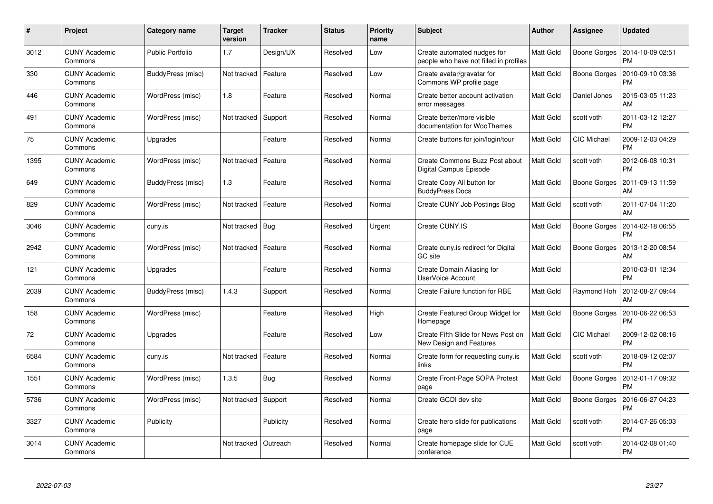| $\pmb{\#}$ | Project                         | Category name           | <b>Target</b><br>version | <b>Tracker</b> | <b>Status</b> | <b>Priority</b><br>name | <b>Subject</b>                                                        | Author           | Assignee            | <b>Updated</b>                |
|------------|---------------------------------|-------------------------|--------------------------|----------------|---------------|-------------------------|-----------------------------------------------------------------------|------------------|---------------------|-------------------------------|
| 3012       | <b>CUNY Academic</b><br>Commons | <b>Public Portfolio</b> | 1.7                      | Design/UX      | Resolved      | Low                     | Create automated nudges for<br>people who have not filled in profiles | Matt Gold        | Boone Gorges        | 2014-10-09 02:51<br><b>PM</b> |
| 330        | <b>CUNY Academic</b><br>Commons | BuddyPress (misc)       | Not tracked              | Feature        | Resolved      | Low                     | Create avatar/gravatar for<br>Commons WP profile page                 | Matt Gold        | <b>Boone Gorges</b> | 2010-09-10 03:36<br><b>PM</b> |
| 446        | <b>CUNY Academic</b><br>Commons | WordPress (misc)        | 1.8                      | Feature        | Resolved      | Normal                  | Create better account activation<br>error messages                    | Matt Gold        | Daniel Jones        | 2015-03-05 11:23<br>AM        |
| 491        | <b>CUNY Academic</b><br>Commons | WordPress (misc)        | Not tracked              | Support        | Resolved      | Normal                  | Create better/more visible<br>documentation for WooThemes             | Matt Gold        | scott voth          | 2011-03-12 12:27<br><b>PM</b> |
| 75         | <b>CUNY Academic</b><br>Commons | Upgrades                |                          | Feature        | Resolved      | Normal                  | Create buttons for join/login/tour                                    | Matt Gold        | <b>CIC Michael</b>  | 2009-12-03 04:29<br><b>PM</b> |
| 1395       | <b>CUNY Academic</b><br>Commons | WordPress (misc)        | Not tracked              | Feature        | Resolved      | Normal                  | Create Commons Buzz Post about<br>Digital Campus Episode              | <b>Matt Gold</b> | scott voth          | 2012-06-08 10:31<br><b>PM</b> |
| 649        | <b>CUNY Academic</b><br>Commons | BuddyPress (misc)       | 1.3                      | Feature        | Resolved      | Normal                  | Create Copy All button for<br><b>BuddyPress Docs</b>                  | Matt Gold        | <b>Boone Gorges</b> | 2011-09-13 11:59<br>AM        |
| 829        | <b>CUNY Academic</b><br>Commons | WordPress (misc)        | Not tracked              | Feature        | Resolved      | Normal                  | Create CUNY Job Postings Blog                                         | Matt Gold        | scott voth          | 2011-07-04 11:20<br>AM        |
| 3046       | <b>CUNY Academic</b><br>Commons | cuny.is                 | Not tracked              | Bug            | Resolved      | Urgent                  | Create CUNY.IS                                                        | Matt Gold        | Boone Gorges        | 2014-02-18 06:55<br><b>PM</b> |
| 2942       | <b>CUNY Academic</b><br>Commons | WordPress (misc)        | Not tracked              | Feature        | Resolved      | Normal                  | Create cuny is redirect for Digital<br>GC site                        | Matt Gold        | Boone Gorges        | 2013-12-20 08:54<br>AM        |
| 121        | <b>CUNY Academic</b><br>Commons | Upgrades                |                          | Feature        | Resolved      | Normal                  | Create Domain Aliasing for<br>UserVoice Account                       | Matt Gold        |                     | 2010-03-01 12:34<br><b>PM</b> |
| 2039       | <b>CUNY Academic</b><br>Commons | BuddyPress (misc)       | 1.4.3                    | Support        | Resolved      | Normal                  | Create Failure function for RBE                                       | Matt Gold        | Raymond Hoh         | 2012-08-27 09:44<br>AM        |
| 158        | <b>CUNY Academic</b><br>Commons | WordPress (misc)        |                          | Feature        | Resolved      | High                    | Create Featured Group Widget for<br>Homepage                          | <b>Matt Gold</b> | Boone Gorges        | 2010-06-22 06:53<br><b>PM</b> |
| 72         | <b>CUNY Academic</b><br>Commons | Upgrades                |                          | Feature        | Resolved      | Low                     | Create Fifth Slide for News Post on<br>New Design and Features        | Matt Gold        | CIC Michael         | 2009-12-02 08:16<br><b>PM</b> |
| 6584       | <b>CUNY Academic</b><br>Commons | cuny.is                 | Not tracked              | Feature        | Resolved      | Normal                  | Create form for requesting cuny.is<br>links                           | Matt Gold        | scott voth          | 2018-09-12 02:07<br><b>PM</b> |
| 1551       | <b>CUNY Academic</b><br>Commons | WordPress (misc)        | 1.3.5                    | Bug            | Resolved      | Normal                  | Create Front-Page SOPA Protest<br>page                                | Matt Gold        | Boone Gorges        | 2012-01-17 09:32<br><b>PM</b> |
| 5736       | <b>CUNY Academic</b><br>Commons | WordPress (misc)        | Not tracked              | Support        | Resolved      | Normal                  | Create GCDI dev site                                                  | Matt Gold        | Boone Gorges        | 2016-06-27 04:23<br><b>PM</b> |
| 3327       | <b>CUNY Academic</b><br>Commons | Publicity               |                          | Publicity      | Resolved      | Normal                  | Create hero slide for publications<br>page                            | Matt Gold        | scott voth          | 2014-07-26 05:03<br><b>PM</b> |
| 3014       | <b>CUNY Academic</b><br>Commons |                         | Not tracked              | Outreach       | Resolved      | Normal                  | Create homepage slide for CUE<br>conference                           | Matt Gold        | scott voth          | 2014-02-08 01:40<br>PM        |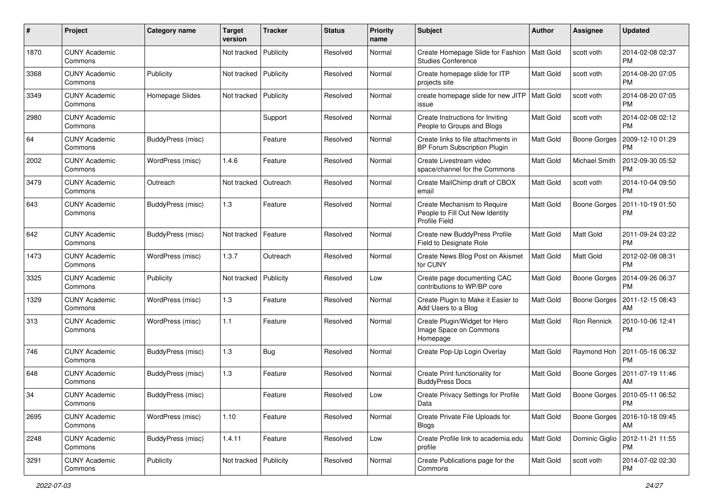| #    | Project                         | Category name     | <b>Target</b><br>version | <b>Tracker</b> | <b>Status</b> | <b>Priority</b><br>name | <b>Subject</b>                                                                         | Author           | <b>Assignee</b>     | <b>Updated</b>                          |
|------|---------------------------------|-------------------|--------------------------|----------------|---------------|-------------------------|----------------------------------------------------------------------------------------|------------------|---------------------|-----------------------------------------|
| 1870 | <b>CUNY Academic</b><br>Commons |                   | Not tracked              | Publicity      | Resolved      | Normal                  | Create Homepage Slide for Fashion<br><b>Studies Conference</b>                         | Matt Gold        | scott voth          | 2014-02-08 02:37<br><b>PM</b>           |
| 3368 | <b>CUNY Academic</b><br>Commons | Publicity         | Not tracked              | Publicity      | Resolved      | Normal                  | Create homepage slide for ITP<br>projects site                                         | Matt Gold        | scott voth          | 2014-08-20 07:05<br><b>PM</b>           |
| 3349 | <b>CUNY Academic</b><br>Commons | Homepage Slides   | Not tracked              | Publicity      | Resolved      | Normal                  | create homepage slide for new JITP<br>issue                                            | Matt Gold        | scott voth          | 2014-08-20 07:05<br><b>PM</b>           |
| 2980 | <b>CUNY Academic</b><br>Commons |                   |                          | Support        | Resolved      | Normal                  | Create Instructions for Inviting<br>People to Groups and Blogs                         | Matt Gold        | scott voth          | 2014-02-08 02:12<br><b>PM</b>           |
| 64   | <b>CUNY Academic</b><br>Commons | BuddyPress (misc) |                          | Feature        | Resolved      | Normal                  | Create links to file attachments in<br>BP Forum Subscription Plugin                    | Matt Gold        | Boone Gorges        | 2009-12-10 01:29<br><b>PM</b>           |
| 2002 | <b>CUNY Academic</b><br>Commons | WordPress (misc)  | 1.4.6                    | Feature        | Resolved      | Normal                  | Create Livestream video<br>space/channel for the Commons                               | Matt Gold        | Michael Smith       | 2012-09-30 05:52<br><b>PM</b>           |
| 3479 | <b>CUNY Academic</b><br>Commons | Outreach          | Not tracked              | Outreach       | Resolved      | Normal                  | Create MailChimp draft of CBOX<br>email                                                | Matt Gold        | scott voth          | 2014-10-04 09:50<br><b>PM</b>           |
| 643  | <b>CUNY Academic</b><br>Commons | BuddyPress (misc) | 1.3                      | Feature        | Resolved      | Normal                  | Create Mechanism to Require<br>People to Fill Out New Identity<br><b>Profile Field</b> | Matt Gold        | Boone Gorges        | 2011-10-19 01:50<br><b>PM</b>           |
| 642  | <b>CUNY Academic</b><br>Commons | BuddyPress (misc) | Not tracked              | Feature        | Resolved      | Normal                  | Create new BuddyPress Profile<br>Field to Designate Role                               | <b>Matt Gold</b> | Matt Gold           | 2011-09-24 03:22<br><b>PM</b>           |
| 1473 | <b>CUNY Academic</b><br>Commons | WordPress (misc)  | 1.3.7                    | Outreach       | Resolved      | Normal                  | Create News Blog Post on Akismet<br>for CUNY                                           | Matt Gold        | <b>Matt Gold</b>    | 2012-02-08 08:31<br><b>PM</b>           |
| 3325 | <b>CUNY Academic</b><br>Commons | Publicity         | Not tracked              | Publicity      | Resolved      | Low                     | Create page documenting CAC<br>contributions to WP/BP core                             | Matt Gold        | <b>Boone Gorges</b> | 2014-09-26 06:37<br><b>PM</b>           |
| 1329 | <b>CUNY Academic</b><br>Commons | WordPress (misc)  | 1.3                      | Feature        | Resolved      | Normal                  | Create Plugin to Make it Easier to<br>Add Users to a Blog                              | Matt Gold        | <b>Boone Gorges</b> | 2011-12-15 08:43<br>AM                  |
| 313  | <b>CUNY Academic</b><br>Commons | WordPress (misc)  | $1.1$                    | Feature        | Resolved      | Normal                  | Create Plugin/Widget for Hero<br>Image Space on Commons<br>Homepage                    | Matt Gold        | Ron Rennick         | 2010-10-06 12:41<br><b>PM</b>           |
| 746  | <b>CUNY Academic</b><br>Commons | BuddyPress (misc) | 1.3                      | Bug            | Resolved      | Normal                  | Create Pop-Up Login Overlay                                                            | Matt Gold        | Raymond Hoh         | 2011-05-16 06:32<br><b>PM</b>           |
| 648  | <b>CUNY Academic</b><br>Commons | BuddyPress (misc) | $1.3$                    | Feature        | Resolved      | Normal                  | Create Print functionality for<br><b>BuddyPress Docs</b>                               | Matt Gold        | <b>Boone Gorges</b> | 2011-07-19 11:46<br>AM                  |
| 34   | <b>CUNY Academic</b><br>Commons | BuddyPress (misc) |                          | Feature        | Resolved      | Low                     | Create Privacy Settings for Profile<br>Data                                            | Matt Gold        |                     | Boone Gorges   2010-05-11 06:52<br>PM   |
| 2695 | <b>CUNY Academic</b><br>Commons | WordPress (misc)  | 1.10                     | Feature        | Resolved      | Normal                  | Create Private File Uploads for<br><b>Blogs</b>                                        | Matt Gold        |                     | Boone Gorges   2016-10-18 09:45<br>AM   |
| 2248 | <b>CUNY Academic</b><br>Commons | BuddyPress (misc) | 1.4.11                   | Feature        | Resolved      | Low                     | Create Profile link to academia.edu<br>profile                                         | Matt Gold        |                     | Dominic Giglio   2012-11-21 11:55<br>PM |
| 3291 | <b>CUNY Academic</b><br>Commons | Publicity         | Not tracked              | Publicity      | Resolved      | Normal                  | Create Publications page for the<br>Commons                                            | Matt Gold        | scott voth          | 2014-07-02 02:30<br><b>PM</b>           |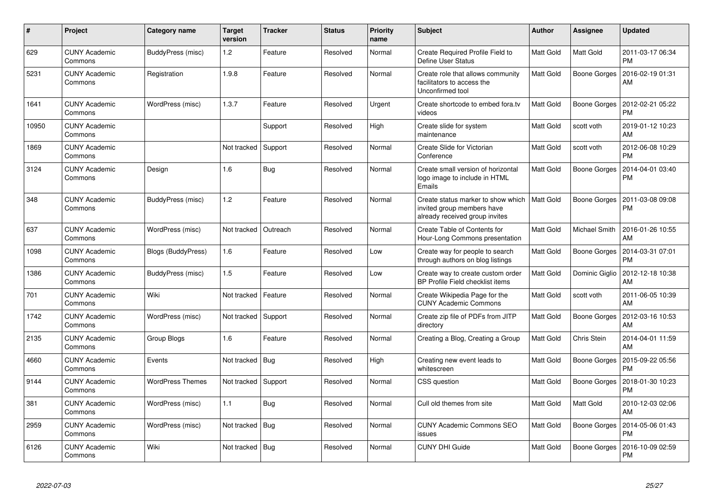| $\pmb{\sharp}$ | Project                         | Category name           | <b>Target</b><br>version | <b>Tracker</b> | <b>Status</b> | <b>Priority</b><br>name | <b>Subject</b>                                                                                     | <b>Author</b>    | <b>Assignee</b>      | <b>Updated</b>                |
|----------------|---------------------------------|-------------------------|--------------------------|----------------|---------------|-------------------------|----------------------------------------------------------------------------------------------------|------------------|----------------------|-------------------------------|
| 629            | <b>CUNY Academic</b><br>Commons | BuddyPress (misc)       | 1.2                      | Feature        | Resolved      | Normal                  | Create Required Profile Field to<br><b>Define User Status</b>                                      | Matt Gold        | Matt Gold            | 2011-03-17 06:34<br><b>PM</b> |
| 5231           | <b>CUNY Academic</b><br>Commons | Registration            | 1.9.8                    | Feature        | Resolved      | Normal                  | Create role that allows community<br>facilitators to access the<br>Unconfirmed tool                | Matt Gold        | Boone Gorges         | 2016-02-19 01:31<br>AM        |
| 1641           | <b>CUNY Academic</b><br>Commons | WordPress (misc)        | 1.3.7                    | Feature        | Resolved      | Urgent                  | Create shortcode to embed fora.tv<br>videos                                                        | Matt Gold        | Boone Gorges         | 2012-02-21 05:22<br><b>PM</b> |
| 10950          | <b>CUNY Academic</b><br>Commons |                         |                          | Support        | Resolved      | High                    | Create slide for system<br>maintenance                                                             | Matt Gold        | scott voth           | 2019-01-12 10:23<br>AM        |
| 1869           | <b>CUNY Academic</b><br>Commons |                         | Not tracked              | Support        | Resolved      | Normal                  | Create Slide for Victorian<br>Conference                                                           | Matt Gold        | scott voth           | 2012-06-08 10:29<br><b>PM</b> |
| 3124           | <b>CUNY Academic</b><br>Commons | Design                  | 1.6                      | <b>Bug</b>     | Resolved      | Normal                  | Create small version of horizontal<br>logo image to include in HTML<br>Emails                      | Matt Gold        | Boone Gorges         | 2014-04-01 03:40<br><b>PM</b> |
| 348            | <b>CUNY Academic</b><br>Commons | BuddyPress (misc)       | 1.2                      | Feature        | Resolved      | Normal                  | Create status marker to show which<br>invited group members have<br>already received group invites | <b>Matt Gold</b> | Boone Gorges         | 2011-03-08 09:08<br><b>PM</b> |
| 637            | <b>CUNY Academic</b><br>Commons | WordPress (misc)        | Not tracked              | Outreach       | Resolved      | Normal                  | Create Table of Contents for<br>Hour-Long Commons presentation                                     | Matt Gold        | <b>Michael Smith</b> | 2016-01-26 10:55<br>AM        |
| 1098           | <b>CUNY Academic</b><br>Commons | Blogs (BuddyPress)      | 1.6                      | Feature        | Resolved      | Low                     | Create way for people to search<br>through authors on blog listings                                | Matt Gold        | Boone Gorges         | 2014-03-31 07:01<br><b>PM</b> |
| 1386           | <b>CUNY Academic</b><br>Commons | BuddyPress (misc)       | 1.5                      | Feature        | Resolved      | Low                     | Create way to create custom order<br>BP Profile Field checklist items                              | <b>Matt Gold</b> | Dominic Giglio       | 2012-12-18 10:38<br>AM        |
| 701            | <b>CUNY Academic</b><br>Commons | Wiki                    | Not tracked              | Feature        | Resolved      | Normal                  | Create Wikipedia Page for the<br><b>CUNY Academic Commons</b>                                      | Matt Gold        | scott voth           | 2011-06-05 10:39<br>AM        |
| 1742           | <b>CUNY Academic</b><br>Commons | WordPress (misc)        | Not tracked              | Support        | Resolved      | Normal                  | Create zip file of PDFs from JITP<br>directory                                                     | Matt Gold        | Boone Gorges         | 2012-03-16 10:53<br>AM        |
| 2135           | <b>CUNY Academic</b><br>Commons | Group Blogs             | 1.6                      | Feature        | Resolved      | Normal                  | Creating a Blog, Creating a Group                                                                  | Matt Gold        | Chris Stein          | 2014-04-01 11:59<br>AM        |
| 4660           | <b>CUNY Academic</b><br>Commons | Events                  | Not tracked              | <b>Bug</b>     | Resolved      | High                    | Creating new event leads to<br>whitescreen                                                         | Matt Gold        | <b>Boone Gorges</b>  | 2015-09-22 05:56<br><b>PM</b> |
| 9144           | <b>CUNY Academic</b><br>Commons | <b>WordPress Themes</b> | Not tracked              | Support        | Resolved      | Normal                  | CSS question                                                                                       | Matt Gold        | Boone Gorges         | 2018-01-30 10:23<br><b>PM</b> |
| 381            | <b>CUNY Academic</b><br>Commons | WordPress (misc)        | 1.1                      | Bug            | Resolved      | Normal                  | Cull old themes from site                                                                          | Matt Gold        | Matt Gold            | 2010-12-03 02:06<br>AM        |
| 2959           | <b>CUNY Academic</b><br>Commons | WordPress (misc)        | Not tracked              | Bug            | Resolved      | Normal                  | <b>CUNY Academic Commons SEO</b><br>issues                                                         | Matt Gold        | <b>Boone Gorges</b>  | 2014-05-06 01:43<br><b>PM</b> |
| 6126           | <b>CUNY Academic</b><br>Commons | Wiki                    | Not tracked              | Bug            | Resolved      | Normal                  | <b>CUNY DHI Guide</b>                                                                              | Matt Gold        | Boone Gorges         | 2016-10-09 02:59<br><b>PM</b> |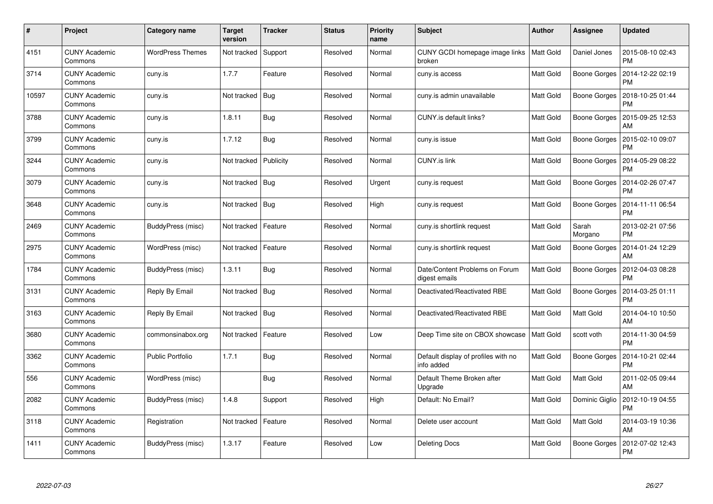| #     | Project                         | Category name           | <b>Target</b><br>version | <b>Tracker</b> | <b>Status</b> | <b>Priority</b><br>name | <b>Subject</b>                                    | <b>Author</b> | <b>Assignee</b>     | <b>Updated</b>                |
|-------|---------------------------------|-------------------------|--------------------------|----------------|---------------|-------------------------|---------------------------------------------------|---------------|---------------------|-------------------------------|
| 4151  | <b>CUNY Academic</b><br>Commons | <b>WordPress Themes</b> | Not tracked              | Support        | Resolved      | Normal                  | CUNY GCDI homepage image links<br>broken          | Matt Gold     | Daniel Jones        | 2015-08-10 02:43<br><b>PM</b> |
| 3714  | <b>CUNY Academic</b><br>Commons | cuny.is                 | 1.7.7                    | Feature        | Resolved      | Normal                  | cuny.is access                                    | Matt Gold     | Boone Gorges        | 2014-12-22 02:19<br><b>PM</b> |
| 10597 | <b>CUNY Academic</b><br>Commons | cuny.is                 | Not tracked              | <b>Bug</b>     | Resolved      | Normal                  | cuny.is admin unavailable                         | Matt Gold     | Boone Gorges        | 2018-10-25 01:44<br><b>PM</b> |
| 3788  | <b>CUNY Academic</b><br>Commons | cuny.is                 | 1.8.11                   | <b>Bug</b>     | Resolved      | Normal                  | CUNY.is default links?                            | Matt Gold     | Boone Gorges        | 2015-09-25 12:53<br>AM        |
| 3799  | <b>CUNY Academic</b><br>Commons | cuny.is                 | 1.7.12                   | <b>Bug</b>     | Resolved      | Normal                  | cuny.is issue                                     | Matt Gold     | <b>Boone Gorges</b> | 2015-02-10 09:07<br><b>PM</b> |
| 3244  | <b>CUNY Academic</b><br>Commons | cuny.is                 | Not tracked              | Publicity      | Resolved      | Normal                  | <b>CUNY.is link</b>                               | Matt Gold     | <b>Boone Gorges</b> | 2014-05-29 08:22<br><b>PM</b> |
| 3079  | <b>CUNY Academic</b><br>Commons | cuny.is                 | Not tracked              | Bug            | Resolved      | Urgent                  | cuny.is request                                   | Matt Gold     | Boone Gorges        | 2014-02-26 07:47<br><b>PM</b> |
| 3648  | <b>CUNY Academic</b><br>Commons | cuny.is                 | Not tracked              | Bug            | Resolved      | High                    | cuny.is request                                   | Matt Gold     | Boone Gorges        | 2014-11-11 06:54<br><b>PM</b> |
| 2469  | <b>CUNY Academic</b><br>Commons | BuddyPress (misc)       | Not tracked              | Feature        | Resolved      | Normal                  | cuny.is shortlink request                         | Matt Gold     | Sarah<br>Morgano    | 2013-02-21 07:56<br><b>PM</b> |
| 2975  | <b>CUNY Academic</b><br>Commons | WordPress (misc)        | Not tracked              | Feature        | Resolved      | Normal                  | cuny.is shortlink request                         | Matt Gold     | Boone Gorges        | 2014-01-24 12:29<br>AM        |
| 1784  | <b>CUNY Academic</b><br>Commons | BuddyPress (misc)       | 1.3.11                   | <b>Bug</b>     | Resolved      | Normal                  | Date/Content Problems on Forum<br>digest emails   | Matt Gold     | Boone Gorges        | 2012-04-03 08:28<br><b>PM</b> |
| 3131  | <b>CUNY Academic</b><br>Commons | Reply By Email          | Not tracked              | <b>Bug</b>     | Resolved      | Normal                  | Deactivated/Reactivated RBE                       | Matt Gold     | Boone Gorges        | 2014-03-25 01:11<br><b>PM</b> |
| 3163  | <b>CUNY Academic</b><br>Commons | Reply By Email          | Not tracked              | Bug            | Resolved      | Normal                  | Deactivated/Reactivated RBE                       | Matt Gold     | Matt Gold           | 2014-04-10 10:50<br>AM        |
| 3680  | <b>CUNY Academic</b><br>Commons | commonsinabox.org       | Not tracked              | Feature        | Resolved      | Low                     | Deep Time site on CBOX showcase                   | Matt Gold     | scott voth          | 2014-11-30 04:59<br><b>PM</b> |
| 3362  | <b>CUNY Academic</b><br>Commons | <b>Public Portfolio</b> | 1.7.1                    | <b>Bug</b>     | Resolved      | Normal                  | Default display of profiles with no<br>info added | Matt Gold     | Boone Gorges        | 2014-10-21 02:44<br><b>PM</b> |
| 556   | <b>CUNY Academic</b><br>Commons | WordPress (misc)        |                          | Bug            | Resolved      | Normal                  | Default Theme Broken after<br>Upgrade             | Matt Gold     | Matt Gold           | 2011-02-05 09:44<br>AM        |
| 2082  | <b>CUNY Academic</b><br>Commons | BuddyPress (misc)       | 1.4.8                    | Support        | Resolved      | High                    | Default: No Email?                                | Matt Gold     | Dominic Giglio      | 2012-10-19 04:55<br><b>PM</b> |
| 3118  | <b>CUNY Academic</b><br>Commons | Registration            | Not tracked              | Feature        | Resolved      | Normal                  | Delete user account                               | Matt Gold     | Matt Gold           | 2014-03-19 10:36<br>AM        |
| 1411  | CUNY Academic<br>Commons        | BuddyPress (misc)       | 1.3.17                   | Feature        | Resolved      | Low                     | Deleting Docs                                     | Matt Gold     | Boone Gorges        | 2012-07-02 12:43<br><b>PM</b> |